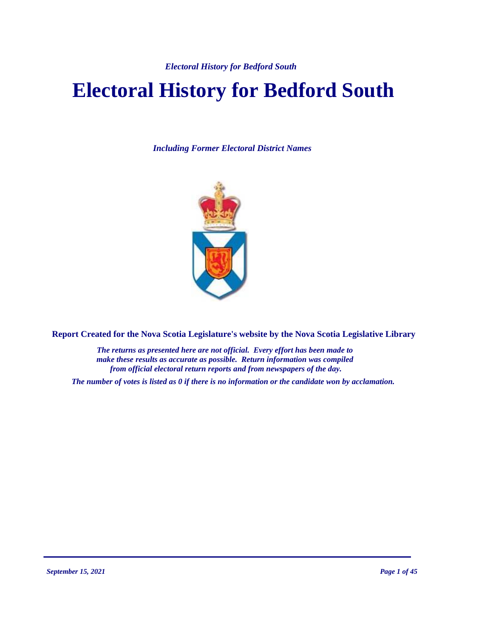*Electoral History for Bedford South*

# **Electoral History for Bedford South**

*Including Former Electoral District Names*



**Report Created for the Nova Scotia Legislature's website by the Nova Scotia Legislative Library**

*The returns as presented here are not official. Every effort has been made to make these results as accurate as possible. Return information was compiled from official electoral return reports and from newspapers of the day.*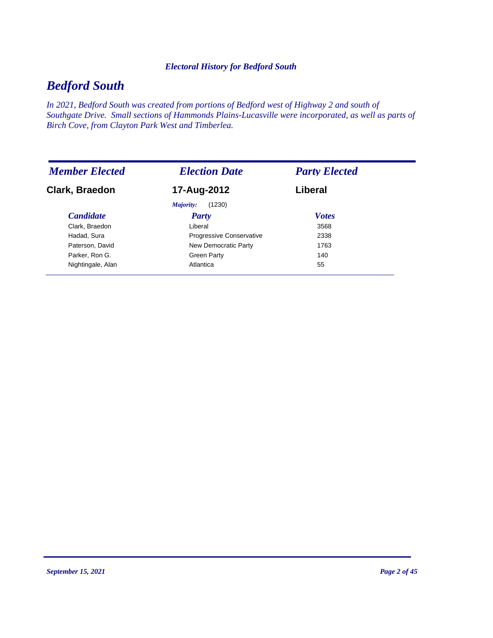#### *Electoral History for Bedford South*

# *Bedford South*

*In 2021, Bedford South was created from portions of Bedford west of Highway 2 and south of Southgate Drive. Small sections of Hammonds Plains-Lucasville were incorporated, as well as parts of Birch Cove, from Clayton Park West and Timberlea.*

| <b>Member Elected</b> | <b>Election Date</b>     | <b>Party Elected</b> |
|-----------------------|--------------------------|----------------------|
| Clark, Braedon        | 17-Aug-2012              | Liberal              |
|                       | Majority:<br>(1230)      |                      |
| <b>Candidate</b>      | <b>Party</b>             | <b>Votes</b>         |
| Clark, Braedon        | Liberal                  | 3568                 |
| Hadad, Sura           | Progressive Conservative | 2338                 |
| Paterson, David       | New Democratic Party     | 1763                 |
| Parker, Ron G.        | <b>Green Party</b>       | 140                  |
| Nightingale, Alan     | Atlantica                | 55                   |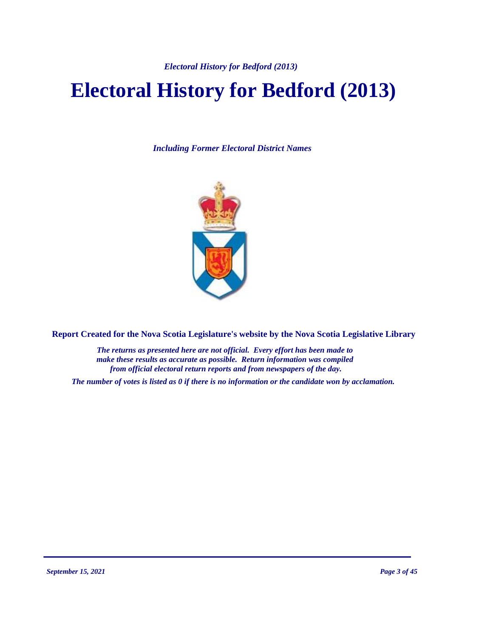*Electoral History for Bedford (2013)*

# **Electoral History for Bedford (2013)**

*Including Former Electoral District Names*



**Report Created for the Nova Scotia Legislature's website by the Nova Scotia Legislative Library**

*The returns as presented here are not official. Every effort has been made to make these results as accurate as possible. Return information was compiled from official electoral return reports and from newspapers of the day.*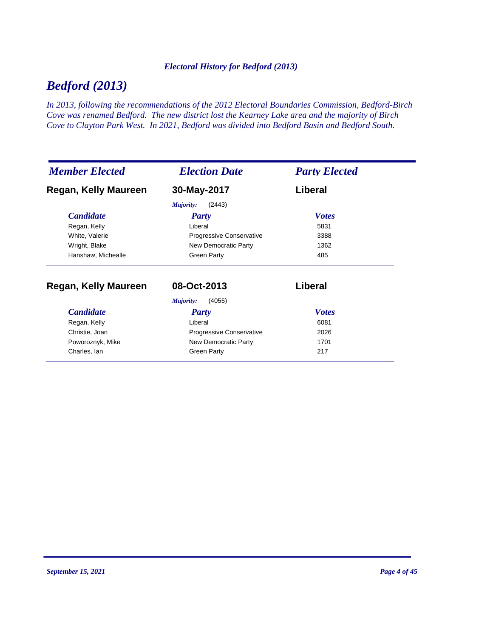#### *Electoral History for Bedford (2013)*

# *Bedford (2013)*

*In 2013, following the recommendations of the 2012 Electoral Boundaries Commission, Bedford-Birch Cove was renamed Bedford. The new district lost the Kearney Lake area and the majority of Birch Cove to Clayton Park West. In 2021, Bedford was divided into Bedford Basin and Bedford South.*

| <b>Member Elected</b> | <b>Election Date</b>     | <b>Party Elected</b> |
|-----------------------|--------------------------|----------------------|
| Regan, Kelly Maureen  | 30-May-2017              | Liberal              |
|                       | (2443)<br>Majority:      |                      |
| <b>Candidate</b>      | <b>Party</b>             | <b>Votes</b>         |
| Regan, Kelly          | Liberal                  | 5831                 |
| White, Valerie        | Progressive Conservative | 3388                 |
| Wright, Blake         | New Democratic Party     | 1362                 |
| Hanshaw, Michealle    | <b>Green Party</b>       | 485                  |
| Regan, Kelly Maureen  | 08-Oct-2013              | Liberal              |
|                       | Majority:<br>(4055)      |                      |
| <b>Candidate</b>      | <b>Party</b>             | <b>Votes</b>         |
| Regan, Kelly          | Liberal                  | 6081                 |
| Christie, Joan        | Progressive Conservative | 2026                 |
| Poworoznyk, Mike      | New Democratic Party     | 1701                 |
| Charles, Ian          | <b>Green Party</b>       | 217                  |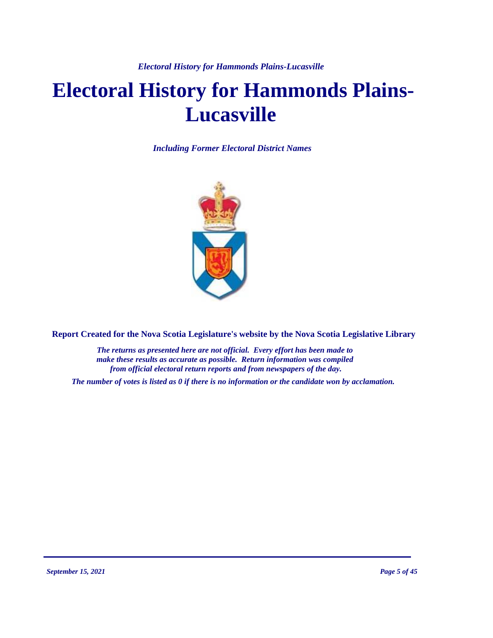# **Electoral History for Hammonds Plains-Lucasville**

*Including Former Electoral District Names*



**Report Created for the Nova Scotia Legislature's website by the Nova Scotia Legislative Library**

*The returns as presented here are not official. Every effort has been made to make these results as accurate as possible. Return information was compiled from official electoral return reports and from newspapers of the day.*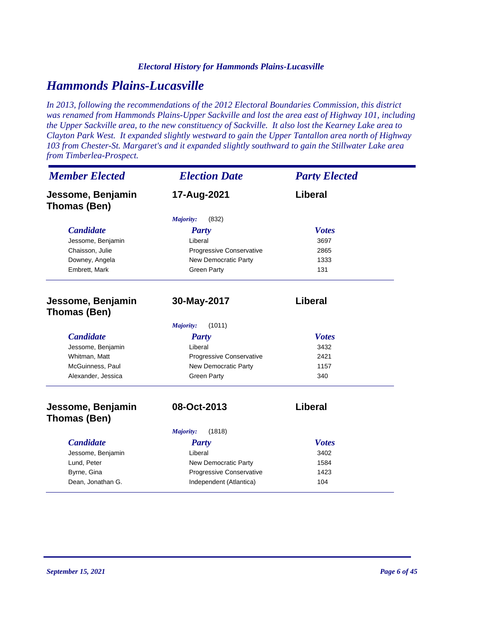#### *Electoral History for Hammonds Plains-Lucasville*

## *Hammonds Plains-Lucasville*

*In 2013, following the recommendations of the 2012 Electoral Boundaries Commission, this district was renamed from Hammonds Plains-Upper Sackville and lost the area east of Highway 101, including the Upper Sackville area, to the new constituency of Sackville. It also lost the Kearney Lake area to Clayton Park West. It expanded slightly westward to gain the Upper Tantallon area north of Highway 103 from Chester-St. Margaret's and it expanded slightly southward to gain the Stillwater Lake area from Timberlea-Prospect.*

| <b>Member Elected</b>             | <b>Election Date</b>     | <b>Party Elected</b> |
|-----------------------------------|--------------------------|----------------------|
| Jessome, Benjamin<br>Thomas (Ben) | 17-Aug-2021              | Liberal              |
|                                   | (832)<br>Majority:       |                      |
| <b>Candidate</b>                  | <b>Party</b>             | <b>Votes</b>         |
| Jessome, Benjamin                 | Liberal                  | 3697                 |
| Chaisson, Julie                   | Progressive Conservative | 2865                 |
| Downey, Angela                    | New Democratic Party     | 1333                 |
| Embrett, Mark                     | <b>Green Party</b>       | 131                  |
| Jessome, Benjamin<br>Thomas (Ben) | 30-May-2017              | Liberal              |
|                                   | (1011)<br>Majority:      |                      |
| <b>Candidate</b>                  | <b>Party</b>             | <b>Votes</b>         |
| Jessome, Benjamin                 | Liberal                  | 3432                 |
| Whitman, Matt                     | Progressive Conservative | 2421                 |
| McGuinness, Paul                  | New Democratic Party     | 1157                 |
| Alexander, Jessica                | <b>Green Party</b>       | 340                  |
| Jessome, Benjamin                 | 08-Oct-2013              | Liberal              |
| Thomas (Ben)                      |                          |                      |
|                                   | (1818)<br>Majority:      |                      |
| <b>Candidate</b>                  | <b>Party</b>             | <b>Votes</b>         |
| Jessome, Benjamin                 | Liberal                  | 3402                 |
| Lund, Peter                       | New Democratic Party     | 1584                 |
| Byrne, Gina                       | Progressive Conservative | 1423                 |
| Dean, Jonathan G.                 | Independent (Atlantica)  | 104                  |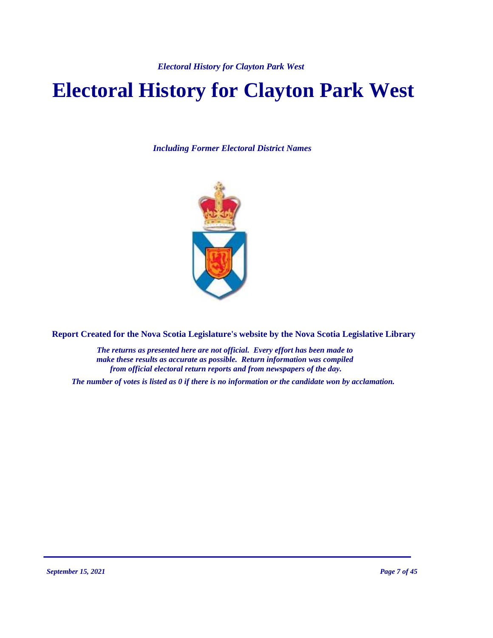*Electoral History for Clayton Park West*

# **Electoral History for Clayton Park West**

*Including Former Electoral District Names*



**Report Created for the Nova Scotia Legislature's website by the Nova Scotia Legislative Library**

*The returns as presented here are not official. Every effort has been made to make these results as accurate as possible. Return information was compiled from official electoral return reports and from newspapers of the day.*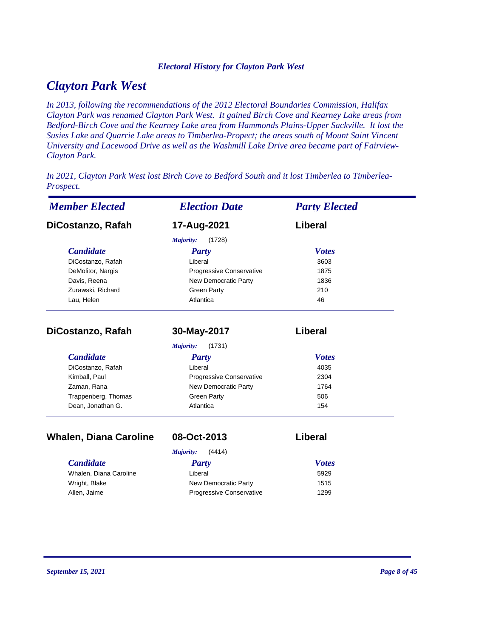#### *Electoral History for Clayton Park West*

## *Clayton Park West*

*In 2013, following the recommendations of the 2012 Electoral Boundaries Commission, Halifax Clayton Park was renamed Clayton Park West. It gained Birch Cove and Kearney Lake areas from Bedford-Birch Cove and the Kearney Lake area from Hammonds Plains-Upper Sackville. It lost the Susies Lake and Quarrie Lake areas to Timberlea-Propect; the areas south of Mount Saint Vincent University and Lacewood Drive as well as the Washmill Lake Drive area became part of Fairview-Clayton Park.* 

*In 2021, Clayton Park West lost Birch Cove to Bedford South and it lost Timberlea to Timberlea-Prospect.*

| <b>Member Elected</b>         | <b>Election Date</b>            | <b>Party Elected</b> |
|-------------------------------|---------------------------------|----------------------|
| DiCostanzo, Rafah             | 17-Aug-2021                     | Liberal              |
|                               | Majority:<br>(1728)             |                      |
| <b>Candidate</b>              | <b>Party</b>                    | <b>Votes</b>         |
| DiCostanzo, Rafah             | Liberal                         | 3603                 |
| DeMolitor, Nargis             | <b>Progressive Conservative</b> | 1875                 |
| Davis, Reena                  | <b>New Democratic Party</b>     | 1836                 |
| Zurawski, Richard             | <b>Green Party</b>              | 210                  |
| Lau, Helen                    | Atlantica                       | 46                   |
| DiCostanzo, Rafah             | 30-May-2017                     | Liberal              |
|                               | (1731)<br>Majority:             |                      |
| <b>Candidate</b>              | Party                           | <b>Votes</b>         |
| DiCostanzo, Rafah             | Liberal                         | 4035                 |
| Kimball, Paul                 | Progressive Conservative        | 2304                 |
| Zaman, Rana                   | New Democratic Party            | 1764                 |
| Trappenberg, Thomas           | <b>Green Party</b>              | 506                  |
| Dean, Jonathan G.             | Atlantica                       | 154                  |
| <b>Whalen, Diana Caroline</b> | 08-Oct-2013                     | Liberal              |
|                               | Majority:<br>(4414)             |                      |
| <b>Candidate</b>              | <b>Party</b>                    | <b>Votes</b>         |
| Whalen, Diana Caroline        | Liberal                         | 5929                 |
| Wright, Blake                 | New Democratic Party            | 1515                 |
| Allen, Jaime                  | Progressive Conservative        | 1299                 |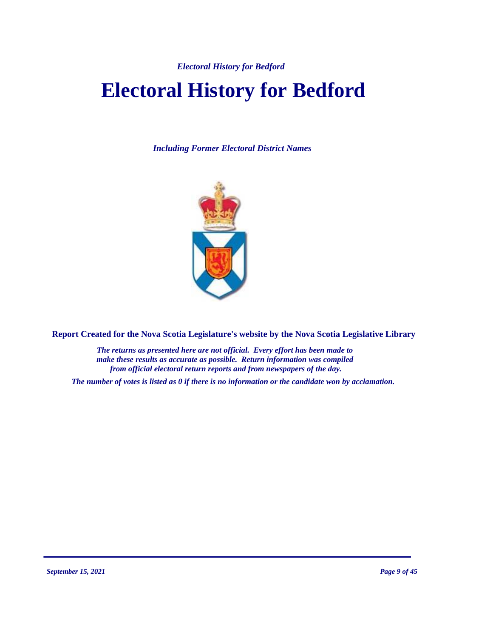*Electoral History for Bedford*

# **Electoral History for Bedford**

*Including Former Electoral District Names*



**Report Created for the Nova Scotia Legislature's website by the Nova Scotia Legislative Library**

*The returns as presented here are not official. Every effort has been made to make these results as accurate as possible. Return information was compiled from official electoral return reports and from newspapers of the day.*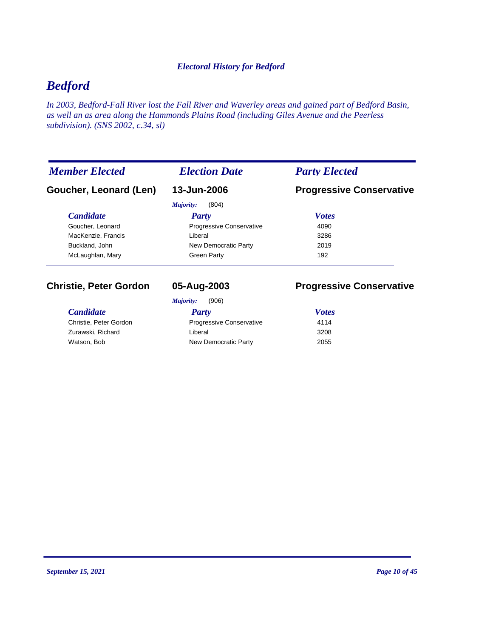#### *Electoral History for Bedford*

# *Bedford*

*In 2003, Bedford-Fall River lost the Fall River and Waverley areas and gained part of Bedford Basin, as well an as area along the Hammonds Plains Road (including Giles Avenue and the Peerless subdivision). (SNS 2002, c.34, sl)*

| <b>Member Elected</b>         | <b>Election Date</b>      | <b>Party Elected</b>            |
|-------------------------------|---------------------------|---------------------------------|
| Goucher, Leonard (Len)        | 13-Jun-2006               | <b>Progressive Conservative</b> |
|                               | (804)<br><i>Majority:</i> |                                 |
| <b>Candidate</b>              | <b>Party</b>              | <b>Votes</b>                    |
| Goucher, Leonard              | Progressive Conservative  | 4090                            |
| MacKenzie, Francis            | Liberal                   | 3286                            |
| Buckland, John                | New Democratic Party      | 2019                            |
| McLaughlan, Mary              | <b>Green Party</b>        | 192                             |
| <b>Christie, Peter Gordon</b> | 05-Aug-2003               | <b>Progressive Conservative</b> |
|                               | (906)<br>Majority:        |                                 |
| <b>Candidate</b>              | Party                     | <b>Votes</b>                    |
| Christie, Peter Gordon        | Progressive Conservative  | 4114                            |
| Zurawski, Richard             | Liberal                   | 3208                            |
| Watson, Bob                   | New Democratic Party      | 2055                            |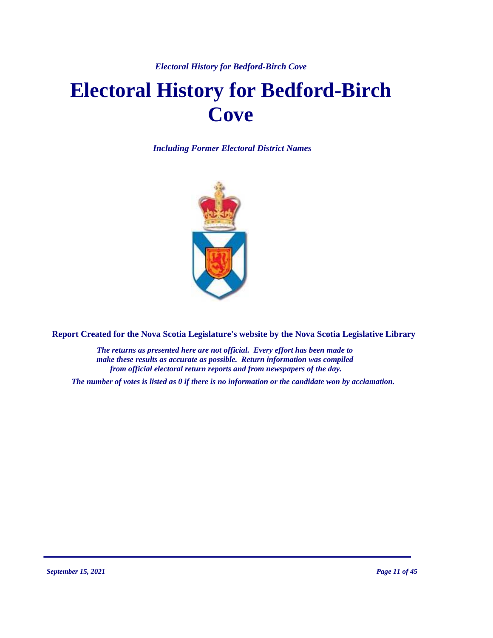#### *Electoral History for Bedford-Birch Cove*

# **Electoral History for Bedford-Birch Cove**

*Including Former Electoral District Names*



**Report Created for the Nova Scotia Legislature's website by the Nova Scotia Legislative Library**

*The returns as presented here are not official. Every effort has been made to make these results as accurate as possible. Return information was compiled from official electoral return reports and from newspapers of the day.*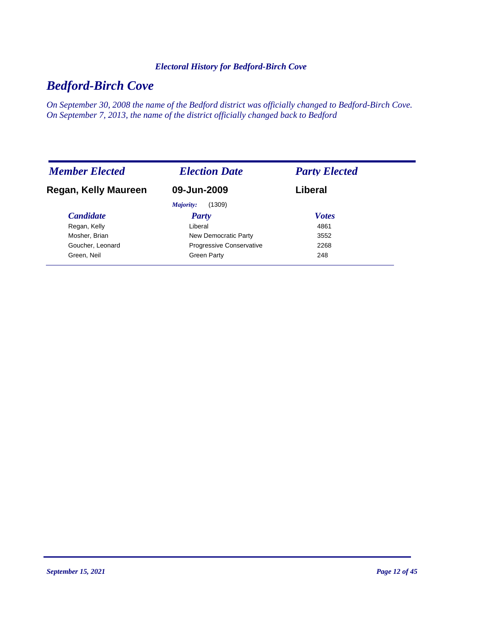#### *Electoral History for Bedford-Birch Cove*

# *Bedford-Birch Cove*

*On September 30, 2008 the name of the Bedford district was officially changed to Bedford-Birch Cove. On September 7, 2013, the name of the district officially changed back to Bedford*

| <b>Member Elected</b> | <b>Election Date</b>            | <b>Party Elected</b> |
|-----------------------|---------------------------------|----------------------|
| Regan, Kelly Maureen  | 09-Jun-2009                     | Liberal              |
|                       | (1309)<br>Majority:             |                      |
| <b>Candidate</b>      | Party                           | <b>Votes</b>         |
| Regan, Kelly          | Liberal                         | 4861                 |
| Mosher, Brian         | New Democratic Party            | 3552                 |
| Goucher, Leonard      | <b>Progressive Conservative</b> | 2268                 |
| Green, Neil           | Green Party                     | 248                  |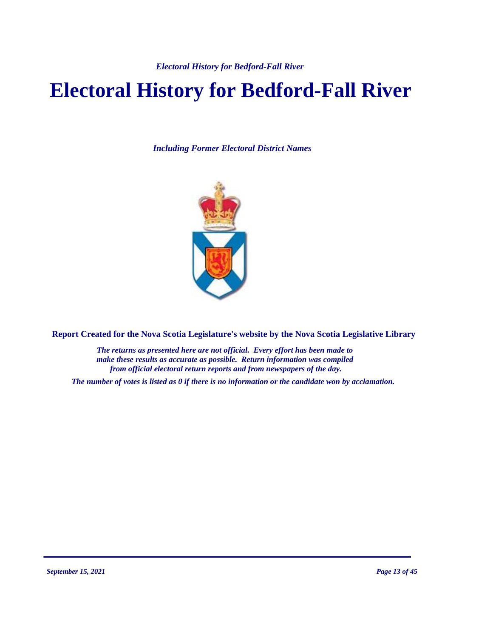*Electoral History for Bedford-Fall River* 

# **Electoral History for Bedford-Fall River**

*Including Former Electoral District Names*



**Report Created for the Nova Scotia Legislature's website by the Nova Scotia Legislative Library**

*The returns as presented here are not official. Every effort has been made to make these results as accurate as possible. Return information was compiled from official electoral return reports and from newspapers of the day.*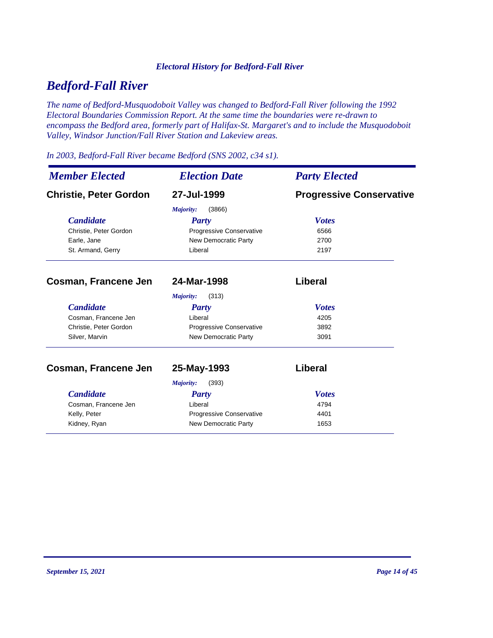#### *Electoral History for Bedford-Fall River*

# *Bedford-Fall River*

*The name of Bedford-Musquodoboit Valley was changed to Bedford-Fall River following the 1992 Electoral Boundaries Commission Report. At the same time the boundaries were re-drawn to encompass the Bedford area, formerly part of Halifax-St. Margaret's and to include the Musquodoboit Valley, Windsor Junction/Fall River Station and Lakeview areas.*

#### *In 2003, Bedford-Fall River became Bedford (SNS 2002, c34 s1).*

| <b>Member Elected</b>         | <b>Election Date</b><br>27-Jul-1999 | <b>Party Elected</b><br><b>Progressive Conservative</b> |
|-------------------------------|-------------------------------------|---------------------------------------------------------|
| <b>Christie, Peter Gordon</b> |                                     |                                                         |
|                               | Majority:<br>(3866)                 |                                                         |
| <b>Candidate</b>              | <b>Party</b>                        | <b>Votes</b>                                            |
| Christie, Peter Gordon        | <b>Progressive Conservative</b>     | 6566                                                    |
| Earle, Jane                   | New Democratic Party                | 2700                                                    |
| St. Armand, Gerry             | Liberal                             | 2197                                                    |
| Cosman, Francene Jen          | 24-Mar-1998                         | <b>Liberal</b>                                          |
|                               | Majority:<br>(313)                  |                                                         |
| <b>Candidate</b>              | <b>Party</b>                        | <b>Votes</b>                                            |
| Cosman, Francene Jen          | Liberal                             | 4205                                                    |
| Christie, Peter Gordon        | <b>Progressive Conservative</b>     | 3892                                                    |
| Silver, Marvin                | New Democratic Party                | 3091                                                    |
| Cosman, Francene Jen          | 25-May-1993                         | <b>Liberal</b>                                          |
|                               | (393)<br>Majority:                  |                                                         |
| <b>Candidate</b>              | <b>Party</b>                        | <b>Votes</b>                                            |
| Cosman, Francene Jen          | Liberal                             | 4794                                                    |
| Kelly, Peter                  | Progressive Conservative            | 4401                                                    |
| Kidney, Ryan                  | <b>New Democratic Party</b>         | 1653                                                    |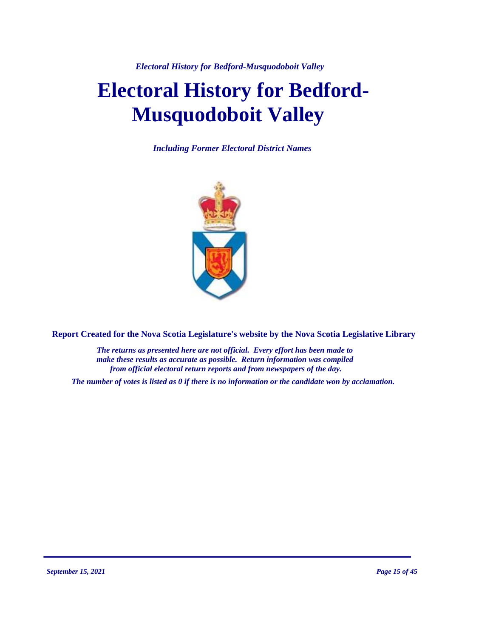*Electoral History for Bedford-Musquodoboit Valley* 

# **Electoral History for Bedford-Musquodoboit Valley**

*Including Former Electoral District Names*



**Report Created for the Nova Scotia Legislature's website by the Nova Scotia Legislative Library**

*The returns as presented here are not official. Every effort has been made to make these results as accurate as possible. Return information was compiled from official electoral return reports and from newspapers of the day.*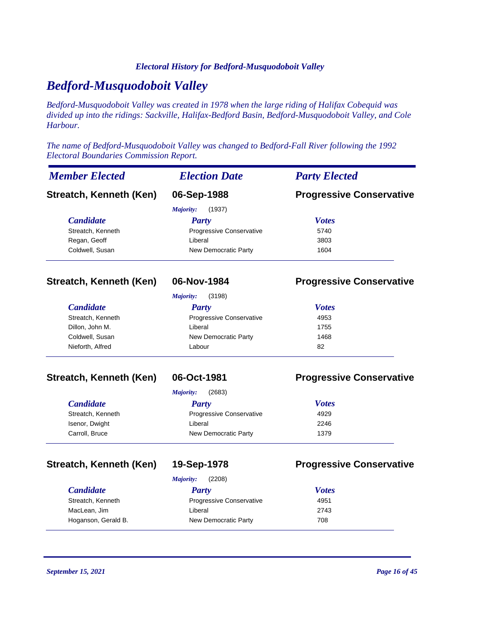#### *Electoral History for Bedford-Musquodoboit Valley*

## *Bedford-Musquodoboit Valley*

*Bedford-Musquodoboit Valley was created in 1978 when the large riding of Halifax Cobequid was divided up into the ridings: Sackville, Halifax-Bedford Basin, Bedford-Musquodoboit Valley, and Cole Harbour.*

*The name of Bedford-Musquodoboit Valley was changed to Bedford-Fall River following the 1992 Electoral Boundaries Commission Report.*

| <b>Member Elected</b>   | <b>Election Date</b>       | <b>Party Elected</b>            |
|-------------------------|----------------------------|---------------------------------|
| Streatch, Kenneth (Ken) | 06-Sep-1988                | <b>Progressive Conservative</b> |
|                         | (1937)<br><b>Majority:</b> |                                 |
| <b>Candidate</b>        | <b>Party</b>               | <b>Votes</b>                    |
| Streatch, Kenneth       | Progressive Conservative   | 5740                            |
| Regan, Geoff            | Liberal                    | 3803                            |
| Coldwell, Susan         | New Democratic Party       | 1604                            |
|                         | (3198)<br>Majority:        |                                 |
| <b>Candidate</b>        | <b>Party</b>               | <b>Votes</b>                    |
| Streatch, Kenneth       | Progressive Conservative   | 4953                            |
| Dillon, John M.         | Liberal                    | 1755                            |
| Coldwell, Susan         | New Democratic Party       | 1468                            |
| Nieforth, Alfred        | Labour                     | 82                              |
| Streatch, Kenneth (Ken) | 06-Oct-1981                | <b>Progressive Conservative</b> |
|                         | (2683)<br>Maiority:        |                                 |

| <b>Candidate</b>  | Party                           | <b>Votes</b> |
|-------------------|---------------------------------|--------------|
| Streatch, Kenneth | <b>Progressive Conservative</b> | 4929         |
| Isenor, Dwight    | Liberal                         | 2246         |
| Carroll, Bruce    | New Democratic Party            | 1379         |

#### **Streatch, Kenneth (Ken) 19-Sep-1978 Progressive Conservative**

*Majority:* (2208)

| Maiority:<br>(2200) |                                 |              |  |
|---------------------|---------------------------------|--------------|--|
| <b>Candidate</b>    | Party                           | <b>Votes</b> |  |
| Streatch, Kenneth   | <b>Progressive Conservative</b> | 4951         |  |
| MacLean, Jim        | Liberal                         | 2743         |  |
| Hoganson, Gerald B. | New Democratic Party            | 708          |  |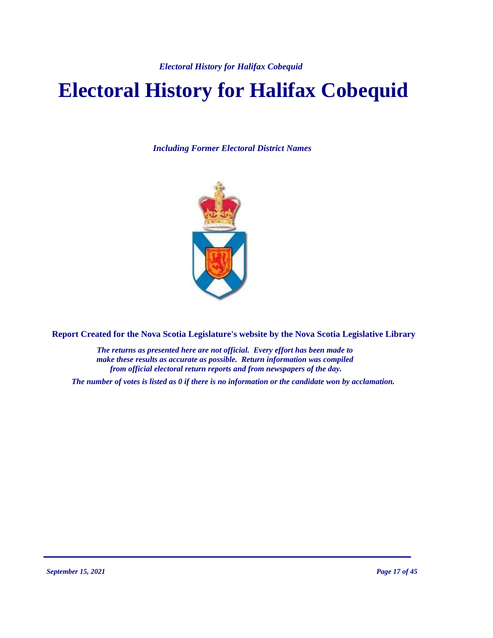*Electoral History for Halifax Cobequid*

# **Electoral History for Halifax Cobequid**

*Including Former Electoral District Names*



**Report Created for the Nova Scotia Legislature's website by the Nova Scotia Legislative Library**

*The returns as presented here are not official. Every effort has been made to make these results as accurate as possible. Return information was compiled from official electoral return reports and from newspapers of the day.*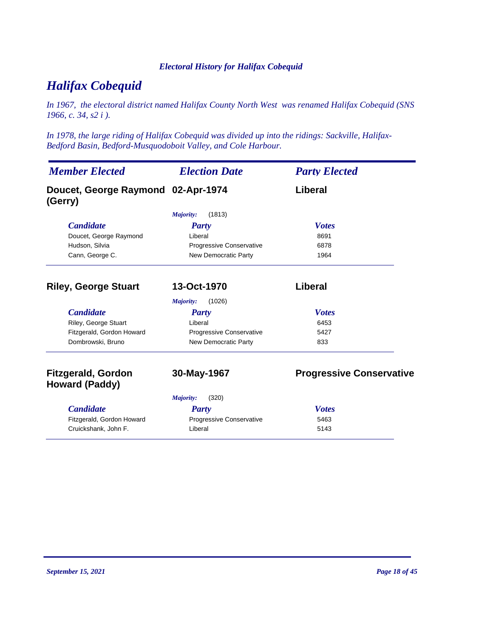#### *Electoral History for Halifax Cobequid*

# *Halifax Cobequid*

*In 1967, the electoral district named Halifax County North West was renamed Halifax Cobequid (SNS 1966, c. 34, s2 i ).*

*In 1978, the large riding of Halifax Cobequid was divided up into the ridings: Sackville, Halifax-Bedford Basin, Bedford-Musquodoboit Valley, and Cole Harbour.*

| <b>Member Elected</b>                              | <b>Election Date</b>        | <b>Party Elected</b>            |
|----------------------------------------------------|-----------------------------|---------------------------------|
| Doucet, George Raymond 02-Apr-1974<br>(Gerry)      |                             | Liberal                         |
|                                                    | (1813)<br>Majority:         |                                 |
| <b>Candidate</b>                                   | <b>Party</b>                | <b>Votes</b>                    |
| Doucet, George Raymond                             | Liberal                     | 8691                            |
| Hudson, Silvia                                     | Progressive Conservative    | 6878                            |
| Cann, George C.                                    | <b>New Democratic Party</b> | 1964                            |
| <b>Riley, George Stuart</b>                        | 13-Oct-1970                 | Liberal                         |
|                                                    | (1026)<br><b>Majority:</b>  |                                 |
| <b>Candidate</b>                                   | Party                       | <b>Votes</b>                    |
| Riley, George Stuart                               | Liberal                     | 6453                            |
| Fitzgerald, Gordon Howard                          | Progressive Conservative    | 5427                            |
| Dombrowski, Bruno                                  | <b>New Democratic Party</b> | 833                             |
| <b>Fitzgerald, Gordon</b><br><b>Howard (Paddy)</b> | 30-May-1967                 | <b>Progressive Conservative</b> |
|                                                    | (320)<br>Majority:          |                                 |
| <b>Candidate</b>                                   | Party                       | <b>Votes</b>                    |
| Fitzgerald, Gordon Howard                          | Progressive Conservative    | 5463                            |
| Cruickshank, John F.                               | Liberal                     | 5143                            |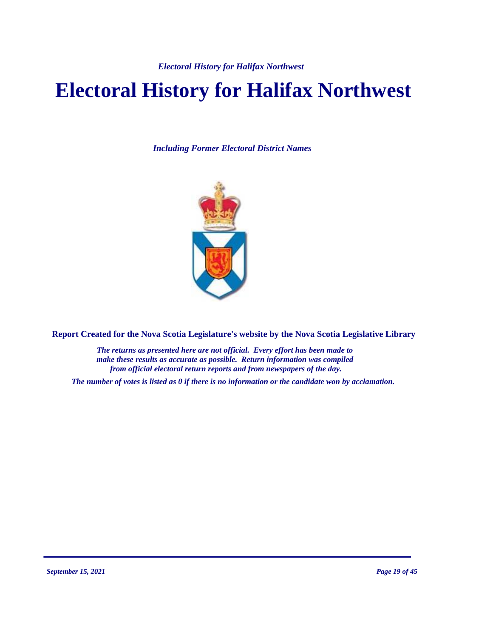# **Electoral History for Halifax Northwest**

*Including Former Electoral District Names*



**Report Created for the Nova Scotia Legislature's website by the Nova Scotia Legislative Library**

*The returns as presented here are not official. Every effort has been made to make these results as accurate as possible. Return information was compiled from official electoral return reports and from newspapers of the day.*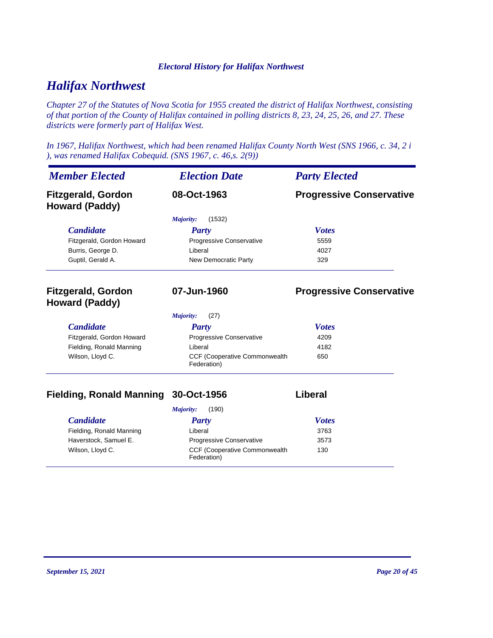## *Halifax Northwest*

*Chapter 27 of the Statutes of Nova Scotia for 1955 created the district of Halifax Northwest, consisting of that portion of the County of Halifax contained in polling districts 8, 23, 24, 25, 26, and 27. These districts were formerly part of Halifax West.*

*In 1967, Halifax Northwest, which had been renamed Halifax County North West (SNS 1966, c. 34, 2 i ), was renamed Halifax Cobequid. (SNS 1967, c. 46,s. 2(9))*

| <b>Member Elected</b>                              | <b>Election Date</b>                         | <b>Party Elected</b>            |
|----------------------------------------------------|----------------------------------------------|---------------------------------|
| <b>Fitzgerald, Gordon</b><br><b>Howard (Paddy)</b> | 08-Oct-1963                                  | <b>Progressive Conservative</b> |
|                                                    | (1532)<br>Majority:                          |                                 |
| <b>Candidate</b>                                   | Party                                        | <b>Votes</b>                    |
| Fitzgerald, Gordon Howard                          | Progressive Conservative                     | 5559                            |
| Burris, George D.                                  | Liberal                                      | 4027                            |
| Guptil, Gerald A.                                  | New Democratic Party                         | 329                             |
| <b>Fitzgerald, Gordon</b><br>Howard (Paddy)        | 07-Jun-1960                                  | <b>Progressive Conservative</b> |
|                                                    | (27)<br>Majority:                            |                                 |
| <b>Candidate</b>                                   | <b>Party</b>                                 | <b>Votes</b>                    |
| Fitzgerald, Gordon Howard                          | Progressive Conservative                     | 4209                            |
| Fielding, Ronald Manning                           | Liberal                                      | 4182                            |
| Wilson, Lloyd C.                                   | CCF (Cooperative Commonwealth<br>Federation) | 650                             |

### **Fielding, Ronald Manning 30-Oct-1956 Liberal**

| (190)<br>Majority:       |                                                      |              |
|--------------------------|------------------------------------------------------|--------------|
| <i>Candidate</i>         | Party                                                | <b>Votes</b> |
| Fielding, Ronald Manning | Liberal                                              | 3763         |
| Haverstock, Samuel E.    | <b>Progressive Conservative</b>                      | 3573         |
| Wilson, Lloyd C.         | <b>CCF (Cooperative Commonwealth)</b><br>Federation) | 130          |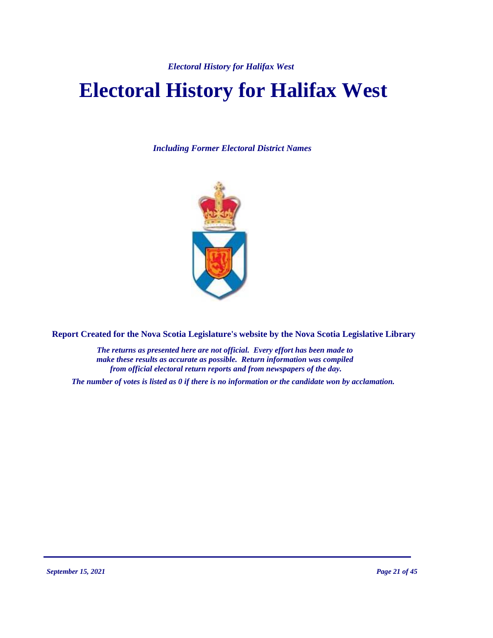# **Electoral History for Halifax West**

*Including Former Electoral District Names*



**Report Created for the Nova Scotia Legislature's website by the Nova Scotia Legislative Library**

*The returns as presented here are not official. Every effort has been made to make these results as accurate as possible. Return information was compiled from official electoral return reports and from newspapers of the day.*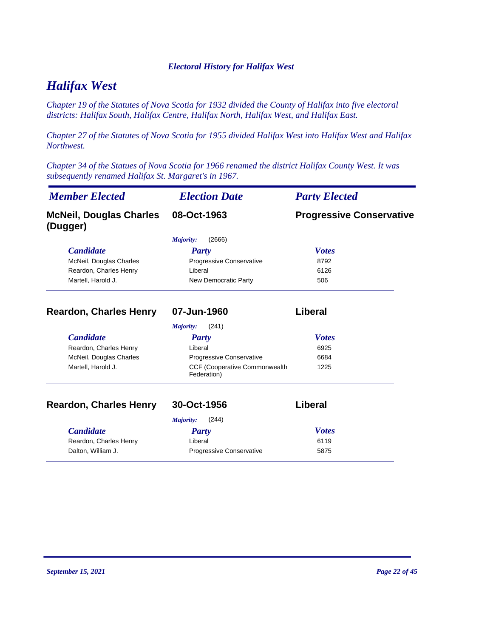# *Halifax West*

*Chapter 19 of the Statutes of Nova Scotia for 1932 divided the County of Halifax into five electoral districts: Halifax South, Halifax Centre, Halifax North, Halifax West, and Halifax East.*

*Chapter 27 of the Statutes of Nova Scotia for 1955 divided Halifax West into Halifax West and Halifax Northwest.*

*Chapter 34 of the Statues of Nova Scotia for 1966 renamed the district Halifax County West. It was subsequently renamed Halifax St. Margaret's in 1967.*

| <b>Member Elected</b>                      | <b>Election Date</b>                         | <b>Party Elected</b>            |
|--------------------------------------------|----------------------------------------------|---------------------------------|
| <b>McNeil, Douglas Charles</b><br>(Dugger) | 08-Oct-1963                                  | <b>Progressive Conservative</b> |
|                                            | (2666)<br>Majority:                          |                                 |
| <b>Candidate</b>                           | Party                                        | <b>Votes</b>                    |
| McNeil, Douglas Charles                    | Progressive Conservative                     | 8792                            |
| Reardon, Charles Henry                     | Liberal                                      | 6126                            |
| Martell, Harold J.                         | New Democratic Party                         | 506                             |
| <b>Reardon, Charles Henry</b>              | 07-Jun-1960                                  | Liberal                         |
|                                            | (241)<br>Majority:                           |                                 |
| <b>Candidate</b>                           | <b>Party</b>                                 | <b>Votes</b>                    |
| Reardon, Charles Henry                     | Liberal                                      | 6925                            |
| McNeil, Douglas Charles                    | Progressive Conservative                     | 6684                            |
| Martell, Harold J.                         | CCF (Cooperative Commonwealth<br>Federation) | 1225                            |
| <b>Reardon, Charles Henry</b>              | 30-Oct-1956                                  | Liberal                         |
|                                            | Majority:<br>(244)                           |                                 |
| <b>Candidate</b>                           | Party                                        | <b>Votes</b>                    |
| Reardon, Charles Henry                     | Liberal                                      | 6119                            |
| Dalton, William J.                         | Progressive Conservative                     | 5875                            |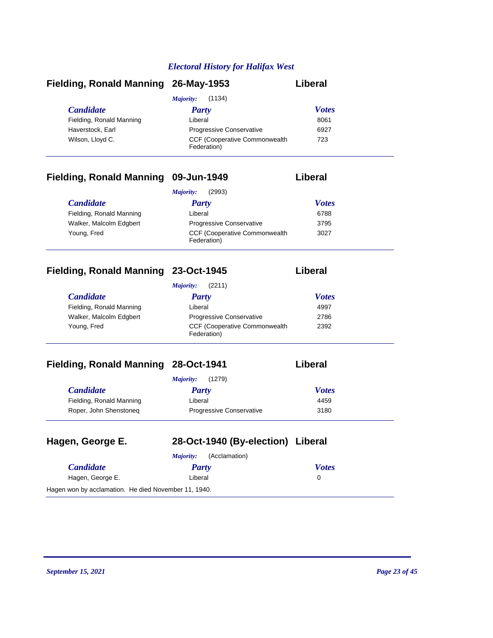| Fielding, Ronald Manning 26-May-1953 |                                                      | Liberal      |
|--------------------------------------|------------------------------------------------------|--------------|
|                                      | (1134)<br>Majority:                                  |              |
| <i>Candidate</i>                     | Party                                                | <b>Votes</b> |
| Fielding, Ronald Manning             | Liberal                                              | 8061         |
| Haverstock, Earl                     | <b>Progressive Conservative</b>                      | 6927         |
| Wilson, Lloyd C.                     | <b>CCF (Cooperative Commonwealth)</b><br>Federation) | 723          |

## **Fielding, Ronald Manning 09-Jun-1949 Liberal**

|                          | (2993)<br>Majority:                                  |              |
|--------------------------|------------------------------------------------------|--------------|
| <i>Candidate</i>         | Party                                                | <b>Votes</b> |
| Fielding, Ronald Manning | Liberal                                              | 6788         |
| Walker, Malcolm Edgbert  | <b>Progressive Conservative</b>                      | 3795         |
| Young, Fred              | <b>CCF (Cooperative Commonwealth)</b><br>Federation) | 3027         |

### **Fielding, Ronald Manning 23-Oct-1945 Liberal**

|                          | (2211)<br>Majority:                                  |              |  |
|--------------------------|------------------------------------------------------|--------------|--|
| <i>Candidate</i>         | Party                                                | <b>Votes</b> |  |
| Fielding, Ronald Manning | Liberal                                              | 4997         |  |
| Walker, Malcolm Edgbert  | <b>Progressive Conservative</b>                      | 2786         |  |
| Young, Fred              | <b>CCF (Cooperative Commonwealth)</b><br>Federation) | 2392         |  |

## **Fielding, Ronald Manning 28-Oct-1941**

| .iberal |
|---------|
|---------|

|                          | (1279)<br><i>Majority:</i>      |              |
|--------------------------|---------------------------------|--------------|
| <i>Candidate</i>         | Party                           | <b>Votes</b> |
| Fielding, Ronald Manning | Liberal                         | 4459         |
| Roper, John Shenstoneg   | <b>Progressive Conservative</b> | 3180         |

| Hagen, George E.                                     | 28-Oct-1940 (By-election) Liberal |              |
|------------------------------------------------------|-----------------------------------|--------------|
|                                                      | (Acclamation)<br>Majority:        |              |
| <b>Candidate</b>                                     | <b>Party</b>                      | <b>Votes</b> |
| Hagen, George E.                                     | Liberal                           | 0            |
| Hagen won by acclamation. He died November 11, 1940. |                                   |              |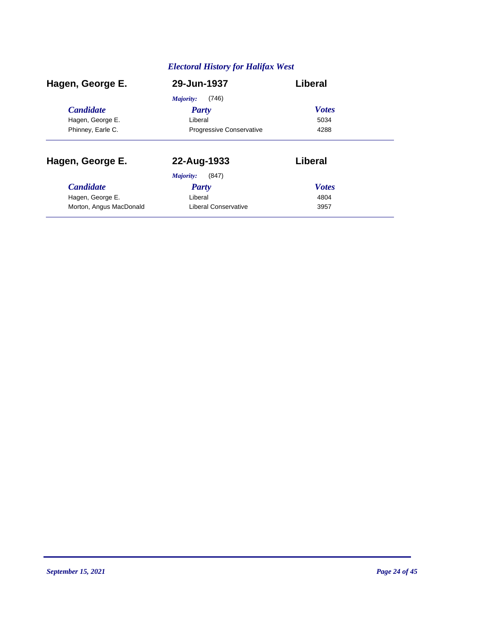| Hagen, George E.        | 29-Jun-1937                     | Liberal      |  |
|-------------------------|---------------------------------|--------------|--|
|                         | (746)<br>Majority:              |              |  |
| <b>Candidate</b>        | Party                           | <b>Votes</b> |  |
| Hagen, George E.        | Liberal                         | 5034         |  |
| Phinney, Earle C.       | <b>Progressive Conservative</b> | 4288         |  |
| Hagen, George E.        | 22-Aug-1933                     | Liberal      |  |
|                         | Majority:<br>(847)              |              |  |
| <b>Candidate</b>        | Party                           | <b>Votes</b> |  |
| Hagen, George E.        | Liberal                         | 4804         |  |
| Morton, Angus MacDonald | Liberal Conservative            | 3957         |  |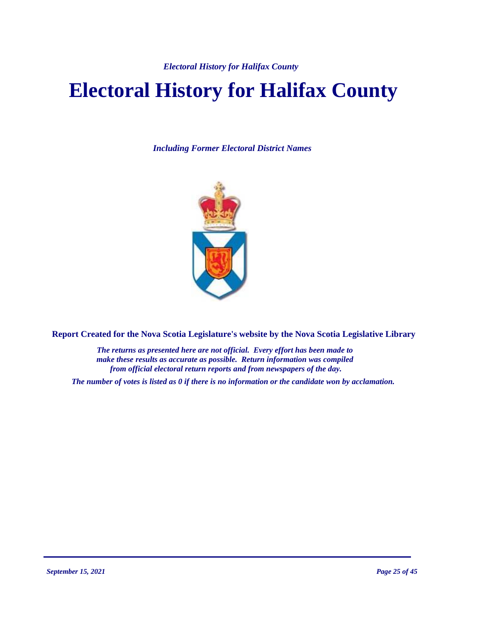# **Electoral History for Halifax County**

*Including Former Electoral District Names*



**Report Created for the Nova Scotia Legislature's website by the Nova Scotia Legislative Library**

*The returns as presented here are not official. Every effort has been made to make these results as accurate as possible. Return information was compiled from official electoral return reports and from newspapers of the day.*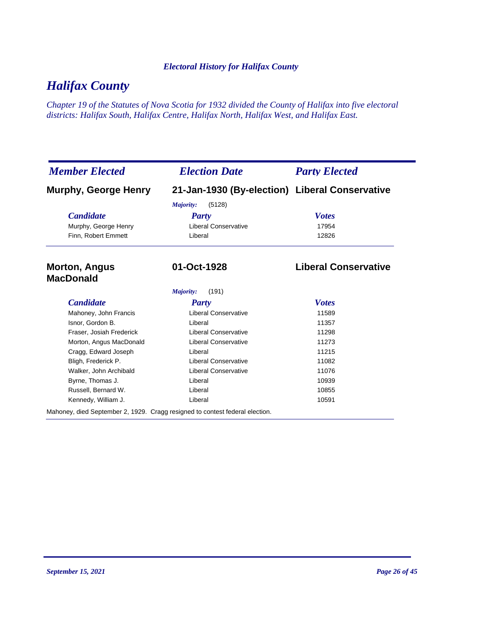# *Halifax County*

*Chapter 19 of the Statutes of Nova Scotia for 1932 divided the County of Halifax into five electoral districts: Halifax South, Halifax Centre, Halifax North, Halifax West, and Halifax East.*

| <b>Member Elected</b>                                                        | <b>Election Date</b>                           | <b>Party Elected</b>        |
|------------------------------------------------------------------------------|------------------------------------------------|-----------------------------|
| Murphy, George Henry                                                         | 21-Jan-1930 (By-election) Liberal Conservative |                             |
|                                                                              | (5128)<br>Majority:                            |                             |
| <b>Candidate</b>                                                             | Party                                          | <b>Votes</b>                |
| Murphy, George Henry                                                         | <b>Liberal Conservative</b>                    | 17954                       |
| Finn, Robert Emmett                                                          | Liberal                                        | 12826                       |
| <b>Morton, Angus</b><br><b>MacDonald</b>                                     | 01-Oct-1928                                    | <b>Liberal Conservative</b> |
|                                                                              | (191)<br>Majority:                             |                             |
| <b>Candidate</b>                                                             | <b>Party</b>                                   | <b>Votes</b>                |
| Mahoney, John Francis                                                        | <b>Liberal Conservative</b>                    | 11589                       |
| Isnor, Gordon B.                                                             | Liberal                                        | 11357                       |
| Fraser, Josiah Frederick                                                     | <b>Liberal Conservative</b>                    | 11298                       |
| Morton, Angus MacDonald                                                      | <b>Liberal Conservative</b>                    | 11273                       |
| Cragg, Edward Joseph                                                         | Liberal                                        | 11215                       |
| Bligh, Frederick P.                                                          | <b>Liberal Conservative</b>                    | 11082                       |
| Walker, John Archibald                                                       | <b>Liberal Conservative</b>                    | 11076                       |
| Byrne, Thomas J.                                                             | Liberal                                        | 10939                       |
| Russell, Bernard W.                                                          | Liberal                                        | 10855                       |
| Kennedy, William J.                                                          | Liberal                                        | 10591                       |
| Mahoney, died September 2, 1929. Cragg resigned to contest federal election. |                                                |                             |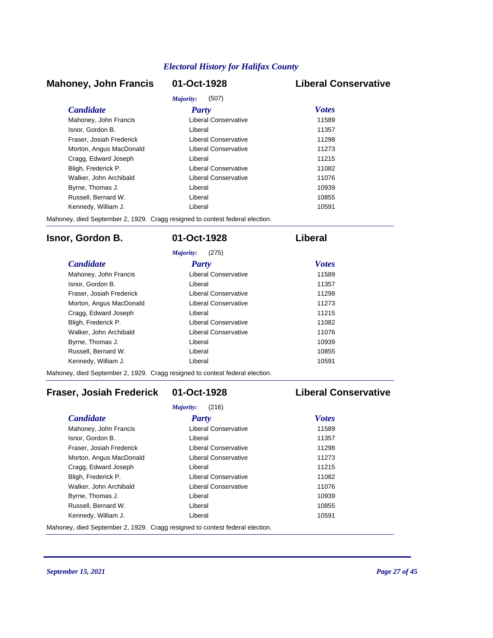#### **Mahoney, John Francis 01-Oct-1928 Liberal Conservative**

|                          | Majority:<br>(507)   |              |
|--------------------------|----------------------|--------------|
| <i>Candidate</i>         | Party                | <b>Votes</b> |
| Mahoney, John Francis    | Liberal Conservative | 11589        |
| Isnor, Gordon B.         | Liberal              | 11357        |
| Fraser, Josiah Frederick | Liberal Conservative | 11298        |
| Morton, Angus MacDonald  | Liberal Conservative | 11273        |
| Cragg, Edward Joseph     | I iberal             | 11215        |
| Bligh, Frederick P.      | Liberal Conservative | 11082        |
| Walker, John Archibald   | Liberal Conservative | 11076        |
| Byrne, Thomas J.         | Liberal              | 10939        |
| Russell, Bernard W.      | I iberal             | 10855        |
| Kennedy, William J.      | I iberal             | 10591        |

Mahoney, died September 2, 1929. Cragg resigned to contest federal election.

#### **Isnor, Gordon B. 01-Oct-1928 Liberal**

| (275)<br>Majority:       |                      |              |
|--------------------------|----------------------|--------------|
| <i>Candidate</i>         | Party                | <b>Votes</b> |
| Mahoney, John Francis    | Liberal Conservative | 11589        |
| Isnor, Gordon B.         | Liberal              | 11357        |
| Fraser, Josiah Frederick | Liberal Conservative | 11298        |
| Morton, Angus MacDonald  | Liberal Conservative | 11273        |
| Cragg, Edward Joseph     | Liberal              | 11215        |
| Bligh, Frederick P.      | Liberal Conservative | 11082        |
| Walker, John Archibald   | Liberal Conservative | 11076        |
| Byrne, Thomas J.         | Liberal              | 10939        |
| Russell, Bernard W.      | Liberal              | 10855        |
| Kennedy, William J.      | Liberal              | 10591        |

Mahoney, died September 2, 1929. Cragg resigned to contest federal election.

### **Fraser, Josiah Frederick 01-Oct-1928 Liberal Conservative**

| (216)<br>Majority:       |                      |              |
|--------------------------|----------------------|--------------|
| <b>Candidate</b>         | Party                | <b>Votes</b> |
| Mahoney, John Francis    | Liberal Conservative | 11589        |
| Isnor, Gordon B.         | Liberal              | 11357        |
| Fraser, Josiah Frederick | Liberal Conservative | 11298        |
| Morton, Angus MacDonald  | Liberal Conservative | 11273        |
| Cragg, Edward Joseph     | Liberal              | 11215        |
| Bligh, Frederick P.      | Liberal Conservative | 11082        |
| Walker, John Archibald   | Liberal Conservative | 11076        |
| Byrne, Thomas J.         | Liberal              | 10939        |
| Russell, Bernard W.      | Liberal              | 10855        |
| Kennedy, William J.      | Liberal              | 10591        |

Mahoney, died September 2, 1929. Cragg resigned to contest federal election.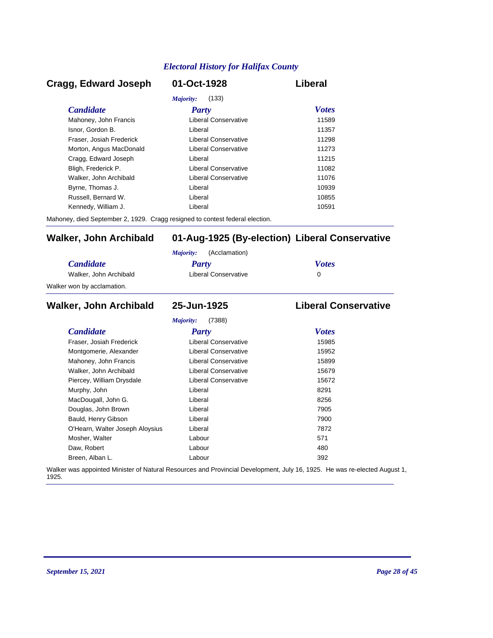#### *Candidate Party Votes* **Cragg, Edward Joseph 01-Oct-1928 Liberal** *Majority:* (133) Mahoney, John Francis **Liberal Conservative** 11589 Isnor, Gordon B. Liberal 11357 Fraser, Josiah Frederick Liberal Conservative 11298 Morton, Angus MacDonald **Liberal Conservative** 11273 Cragg, Edward Joseph Liberal 11215 Bligh, Frederick P. Liberal Conservative 11082 Walker, John Archibald **Liberal Conservative** 11076 Byrne, Thomas J. Christian Liberal Liberal Christian Museum and the 10939 Russell, Bernard W. Liberal 10855 Kennedy, William J. Christian Liberal Liberal Christian Museum of the 10591

Mahoney, died September 2, 1929. Cragg resigned to contest federal election.

#### **Walker, John Archibald 01-Aug-1925 (By-election) Liberal Conservative**

|                            | (Acclamation)<br>Maiority: |              |
|----------------------------|----------------------------|--------------|
| <i>Candidate</i>           | Party                      | <b>Votes</b> |
| Walker, John Archibald     | Liberal Conservative       |              |
| Walker won by acclamation. |                            |              |

#### *Candidate Party Votes* **Walker, John Archibald 25-Jun-1925 Liberal Conservative** *Majority:* (7388) Fraser, Josiah Frederick Liberal Conservative 15985 Montgomerie, Alexander **Liberal Conservative** 15952 Mahoney, John Francis **Liberal Conservative** 15899 Walker, John Archibald **Liberal Conservative** 15679 Piercey, William Drysdale **Liberal Conservative** 15672 Murphy, John **Base Communist Communist Communist Communist Communist Communist Communist Communist Communist Communist Communist Communist Communist Communist Communist Communist Communist Communist Communist Communist Com** MacDougall, John G. Christian Muslim Liberal Christian Muslim Bacher 8256 Douglas, John Brown **Digest Example 2018** Liberal *T905* 7905 Bauld, Henry Gibson Liberal 7900 O'Hearn, Walter Joseph Aloysius Liberal Liberal 27872 Mosher, Walter **Contract Contract Contract Contract Contract Contract Contract Contract Contract Contract Contract Contract Contract Contract Contract Contract Contract Contract Contract Contract Contract Contract Contract** Daw, Robert 280 and 200 km control and 200 km control and 200 km control and 200 km control and 200 km control and 200 km control and 200 km control and 200 km control and 200 km control and 200 km control and 200 km contr Breen, Alban L. Labour 392

Walker was appointed Minister of Natural Resources and Provincial Development, July 16, 1925. He was re-elected August 1, 1925.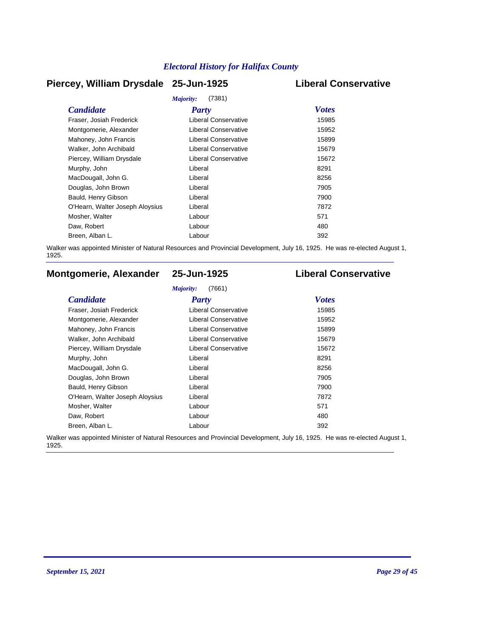#### **Piercey, William Drysdale 25-Jun-1925 Liberal Conservative**

| Majority:<br>(7381)             |                             |              |  |
|---------------------------------|-----------------------------|--------------|--|
| <b>Candidate</b>                | <b>Party</b>                | <b>Votes</b> |  |
| Fraser, Josiah Frederick        | Liberal Conservative        | 15985        |  |
| Montgomerie, Alexander          | Liberal Conservative        | 15952        |  |
| Mahoney, John Francis           | <b>Liberal Conservative</b> | 15899        |  |
| Walker, John Archibald          | <b>Liberal Conservative</b> | 15679        |  |
| Piercey, William Drysdale       | Liberal Conservative        | 15672        |  |
| Murphy, John                    | Liberal                     | 8291         |  |
| MacDougall, John G.             | Liberal                     | 8256         |  |
| Douglas, John Brown             | Liberal                     | 7905         |  |
| Bauld, Henry Gibson             | Liberal                     | 7900         |  |
| O'Hearn, Walter Joseph Aloysius | Liberal                     | 7872         |  |
| Mosher, Walter                  | Labour                      | 571          |  |
| Daw, Robert                     | Labour                      | 480          |  |
| Breen, Alban L.                 | Labour                      | 392          |  |
|                                 |                             |              |  |

Walker was appointed Minister of Natural Resources and Provincial Development, July 16, 1925. He was re-elected August 1, 1925.

### **Montgomerie, Alexander 25-Jun-1925 Liberal Conservative**

#### *Majority:* (7661)

| <b>Candidate</b>                | Party                       | <b>Votes</b> |
|---------------------------------|-----------------------------|--------------|
| Fraser, Josiah Frederick        | Liberal Conservative        | 15985        |
| Montgomerie, Alexander          | Liberal Conservative        | 15952        |
| Mahoney, John Francis           | <b>Liberal Conservative</b> | 15899        |
| Walker, John Archibald          | <b>Liberal Conservative</b> | 15679        |
| Piercey, William Drysdale       | Liberal Conservative        | 15672        |
| Murphy, John                    | Liberal                     | 8291         |
| MacDougall, John G.             | Liberal                     | 8256         |
| Douglas, John Brown             | Liberal                     | 7905         |
| Bauld, Henry Gibson             | Liberal                     | 7900         |
| O'Hearn, Walter Joseph Aloysius | Liberal                     | 7872         |
| Mosher, Walter                  | Labour                      | 571          |
| Daw, Robert                     | Labour                      | 480          |
| Breen, Alban L.                 | Labour                      | 392          |

Walker was appointed Minister of Natural Resources and Provincial Development, July 16, 1925. He was re-elected August 1, 1925.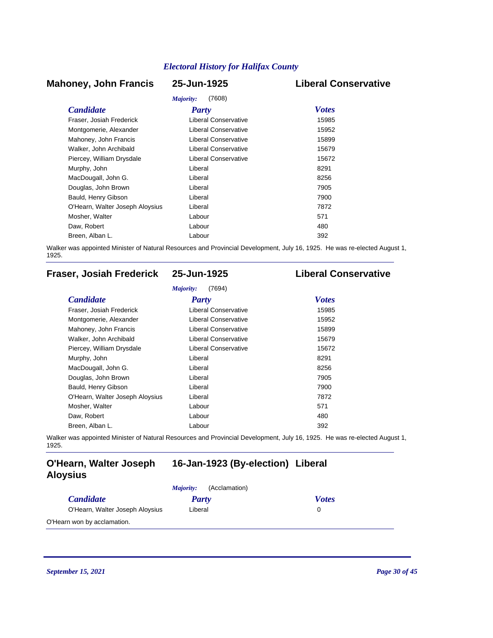#### **Mahoney, John Francis 25-Jun-1925 Liberal Conservative**

# *Majority:* (7608)

| <i>Majority:</i><br>(7608)      |                             |              |  |
|---------------------------------|-----------------------------|--------------|--|
| <b>Candidate</b>                | <b>Party</b>                | <b>Votes</b> |  |
| Fraser, Josiah Frederick        | Liberal Conservative        | 15985        |  |
| Montgomerie, Alexander          | <b>Liberal Conservative</b> | 15952        |  |
| Mahoney, John Francis           | Liberal Conservative        | 15899        |  |
| Walker, John Archibald          | Liberal Conservative        | 15679        |  |
| Piercey, William Drysdale       | Liberal Conservative        | 15672        |  |
| Murphy, John                    | Liberal                     | 8291         |  |
| MacDougall, John G.             | Liberal                     | 8256         |  |
| Douglas, John Brown             | Liberal                     | 7905         |  |
| Bauld, Henry Gibson             | Liberal                     | 7900         |  |
| O'Hearn, Walter Joseph Aloysius | Liberal                     | 7872         |  |
| Mosher, Walter                  | Labour                      | 571          |  |
| Daw, Robert                     | Labour                      | 480          |  |
| Breen, Alban L.                 | Labour                      | 392          |  |

Walker was appointed Minister of Natural Resources and Provincial Development, July 16, 1925. He was re-elected August 1, 1925.

### **Fraser, Josiah Frederick 25-Jun-1925 Liberal Conservative**

| <b>Candidate</b>                | <b>Party</b>                | <b>Votes</b> |
|---------------------------------|-----------------------------|--------------|
| Fraser, Josiah Frederick        | Liberal Conservative        | 15985        |
| Montgomerie, Alexander          | <b>Liberal Conservative</b> | 15952        |
| Mahoney, John Francis           | <b>Liberal Conservative</b> | 15899        |
| Walker, John Archibald          | <b>Liberal Conservative</b> | 15679        |
| Piercey, William Drysdale       | <b>Liberal Conservative</b> | 15672        |
| Murphy, John                    | Liberal                     | 8291         |
| MacDougall, John G.             | Liberal                     | 8256         |
| Douglas, John Brown             | Liberal                     | 7905         |
| Bauld, Henry Gibson             | Liberal                     | 7900         |
| O'Hearn, Walter Joseph Aloysius | Liberal                     | 7872         |
| Mosher, Walter                  | Labour                      | 571          |
| Daw, Robert                     | Labour                      | 480          |
| Breen, Alban L.                 | Labour                      | 392          |

Walker was appointed Minister of Natural Resources and Provincial Development, July 16, 1925. He was re-elected August 1, 1925.

#### **O'Hearn, Walter Joseph 16-Jan-1923 (By-election) Liberal Aloysius**

|                                 | (Acclamation)<br><i>Majority:</i> |              |
|---------------------------------|-----------------------------------|--------------|
| <i>Candidate</i>                | Party                             | <b>Votes</b> |
| O'Hearn, Walter Joseph Aloysius | Liberal                           |              |
| O'Hearn won by acclamation.     |                                   |              |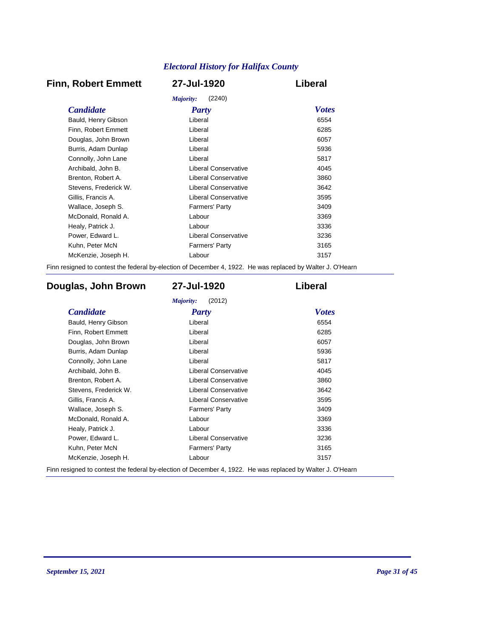### **Finn, Robert Emmett 27-Jul-1920 Liberal**

| (2240)<br>Majority:   |                             |              |  |
|-----------------------|-----------------------------|--------------|--|
| <b>Candidate</b>      | <b>Party</b>                | <b>Votes</b> |  |
| Bauld, Henry Gibson   | Liberal                     | 6554         |  |
| Finn, Robert Emmett   | Liberal                     | 6285         |  |
| Douglas, John Brown   | Liberal                     | 6057         |  |
| Burris, Adam Dunlap   | Liberal                     | 5936         |  |
| Connolly, John Lane   | Liberal                     | 5817         |  |
| Archibald, John B.    | Liberal Conservative        | 4045         |  |
| Brenton, Robert A.    | Liberal Conservative        | 3860         |  |
| Stevens, Frederick W. | <b>Liberal Conservative</b> | 3642         |  |
| Gillis, Francis A.    | Liberal Conservative        | 3595         |  |
| Wallace, Joseph S.    | <b>Farmers' Party</b>       | 3409         |  |
| McDonald, Ronald A.   | Labour                      | 3369         |  |
| Healy, Patrick J.     | Labour                      | 3336         |  |
| Power, Edward L.      | Liberal Conservative        | 3236         |  |
| Kuhn, Peter McN       | <b>Farmers' Party</b>       | 3165         |  |
| McKenzie, Joseph H.   | Labour                      | 3157         |  |
|                       |                             |              |  |

Finn resigned to contest the federal by-election of December 4, 1922. He was replaced by Walter J. O'Hearn

### **Douglas, John Brown 27-Jul-1920 Liberal**

| <b>Candidate</b>      | <b>Party</b>                | <b>Votes</b> |
|-----------------------|-----------------------------|--------------|
| Bauld, Henry Gibson   | Liberal                     | 6554         |
| Finn, Robert Emmett   | Liberal                     | 6285         |
| Douglas, John Brown   | Liberal                     | 6057         |
| Burris, Adam Dunlap   | Liberal                     | 5936         |
| Connolly, John Lane   | Liberal                     | 5817         |
| Archibald, John B.    | Liberal Conservative        | 4045         |
| Brenton, Robert A.    | <b>Liberal Conservative</b> | 3860         |
| Stevens, Frederick W. | <b>Liberal Conservative</b> | 3642         |
| Gillis, Francis A.    | <b>Liberal Conservative</b> | 3595         |
| Wallace, Joseph S.    | <b>Farmers' Party</b>       | 3409         |
| McDonald, Ronald A.   | Labour                      | 3369         |
| Healy, Patrick J.     | Labour                      | 3336         |
| Power, Edward L.      | Liberal Conservative        | 3236         |
| Kuhn, Peter McN       | <b>Farmers' Party</b>       | 3165         |
| McKenzie, Joseph H.   | Labour                      | 3157         |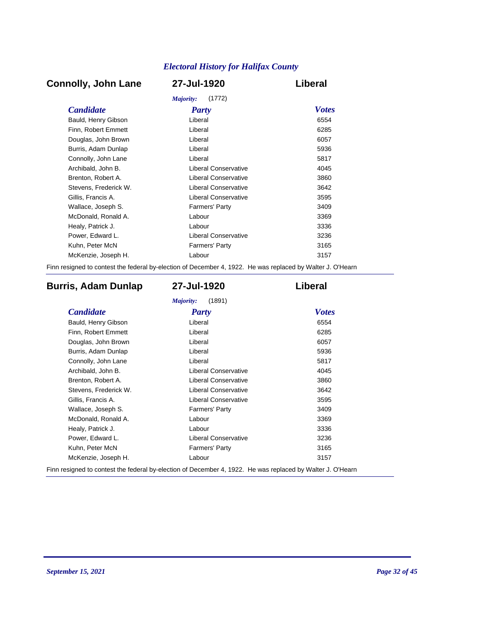### **Connolly, John Lane 27-Jul-1920 Liberal**

| Majority:<br>(1772)   |                             |              |  |
|-----------------------|-----------------------------|--------------|--|
| <b>Candidate</b>      | Party                       | <b>Votes</b> |  |
| Bauld, Henry Gibson   | Liberal                     | 6554         |  |
| Finn, Robert Emmett   | Liberal                     | 6285         |  |
| Douglas, John Brown   | Liberal                     | 6057         |  |
| Burris, Adam Dunlap   | Liberal                     | 5936         |  |
| Connolly, John Lane   | Liberal                     | 5817         |  |
| Archibald, John B.    | Liberal Conservative        | 4045         |  |
| Brenton, Robert A.    | <b>Liberal Conservative</b> | 3860         |  |
| Stevens, Frederick W. | <b>Liberal Conservative</b> | 3642         |  |
| Gillis, Francis A.    | Liberal Conservative        | 3595         |  |
| Wallace, Joseph S.    | <b>Farmers' Party</b>       | 3409         |  |
| McDonald, Ronald A.   | Labour                      | 3369         |  |
| Healy, Patrick J.     | Labour                      | 3336         |  |
| Power, Edward L.      | <b>Liberal Conservative</b> | 3236         |  |
| Kuhn, Peter McN       | <b>Farmers' Party</b>       | 3165         |  |
| McKenzie, Joseph H.   | Labour                      | 3157         |  |
|                       |                             |              |  |

Finn resigned to contest the federal by-election of December 4, 1922. He was replaced by Walter J. O'Hearn

### **Burris, Adam Dunlap 27-Jul-1920 Liberal**

| <b>Candidate</b>      | <b>Party</b>                | <b>Votes</b> |
|-----------------------|-----------------------------|--------------|
| Bauld, Henry Gibson   | Liberal                     | 6554         |
| Finn, Robert Emmett   | Liberal                     | 6285         |
| Douglas, John Brown   | Liberal                     | 6057         |
| Burris, Adam Dunlap   | Liberal                     | 5936         |
| Connolly, John Lane   | Liberal                     | 5817         |
| Archibald, John B.    | Liberal Conservative        | 4045         |
| Brenton, Robert A.    | <b>Liberal Conservative</b> | 3860         |
| Stevens, Frederick W. | <b>Liberal Conservative</b> | 3642         |
| Gillis, Francis A.    | <b>Liberal Conservative</b> | 3595         |
| Wallace, Joseph S.    | <b>Farmers' Party</b>       | 3409         |
| McDonald, Ronald A.   | Labour                      | 3369         |
| Healy, Patrick J.     | Labour                      | 3336         |
| Power, Edward L.      | <b>Liberal Conservative</b> | 3236         |
| Kuhn, Peter McN       | <b>Farmers' Party</b>       | 3165         |
| McKenzie, Joseph H.   | Labour                      | 3157         |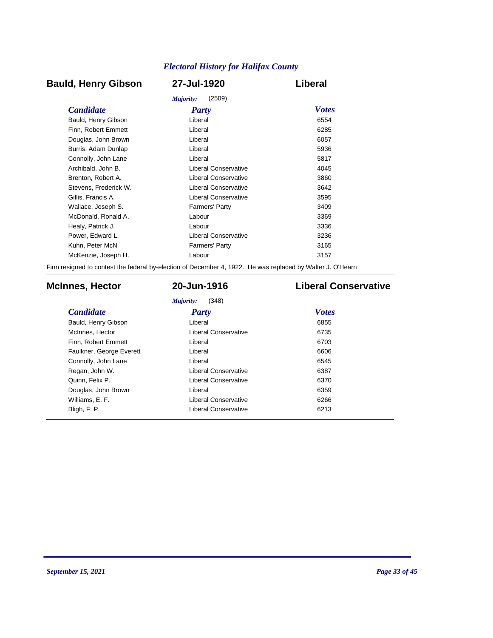### **Bauld, Henry Gibson 27-Jul-1920 Liberal**

|                       | (2509)<br>Majority:   |              |
|-----------------------|-----------------------|--------------|
| <b>Candidate</b>      | <b>Party</b>          | <b>Votes</b> |
| Bauld, Henry Gibson   | Liberal               | 6554         |
| Finn, Robert Emmett   | Liberal               | 6285         |
| Douglas, John Brown   | Liberal               | 6057         |
| Burris, Adam Dunlap   | Liberal               | 5936         |
| Connolly, John Lane   | Liberal               | 5817         |
| Archibald, John B.    | Liberal Conservative  | 4045         |
| Brenton, Robert A.    | Liberal Conservative  | 3860         |
| Stevens. Frederick W. | Liberal Conservative  | 3642         |
| Gillis, Francis A.    | Liberal Conservative  | 3595         |
| Wallace, Joseph S.    | <b>Farmers' Party</b> | 3409         |
| McDonald, Ronald A.   | Labour                | 3369         |
| Healy, Patrick J.     | Labour                | 3336         |
| Power, Edward L.      | Liberal Conservative  | 3236         |
| Kuhn, Peter McN       | <b>Farmers' Party</b> | 3165         |
| McKenzie, Joseph H.   | Labour                | 3157         |
|                       |                       |              |

Finn resigned to contest the federal by-election of December 4, 1922. He was replaced by Walter J. O'Hearn

### **McInnes, Hector 20-Jun-1916 Liberal Conservative**

*Majority:* (348)

| <b>Candidate</b>         | Party                       | <b>Votes</b> |
|--------------------------|-----------------------------|--------------|
| Bauld, Henry Gibson      | Liberal                     | 6855         |
| McInnes, Hector          | Liberal Conservative        | 6735         |
| Finn, Robert Emmett      | Liberal                     | 6703         |
| Faulkner, George Everett | Liberal                     | 6606         |
| Connolly, John Lane      | Liberal                     | 6545         |
| Regan, John W.           | <b>Liberal Conservative</b> | 6387         |
| Quinn, Felix P.          | Liberal Conservative        | 6370         |
| Douglas, John Brown      | Liberal                     | 6359         |
| Williams, E. F.          | Liberal Conservative        | 6266         |
| Bligh, F. P.             | <b>Liberal Conservative</b> | 6213         |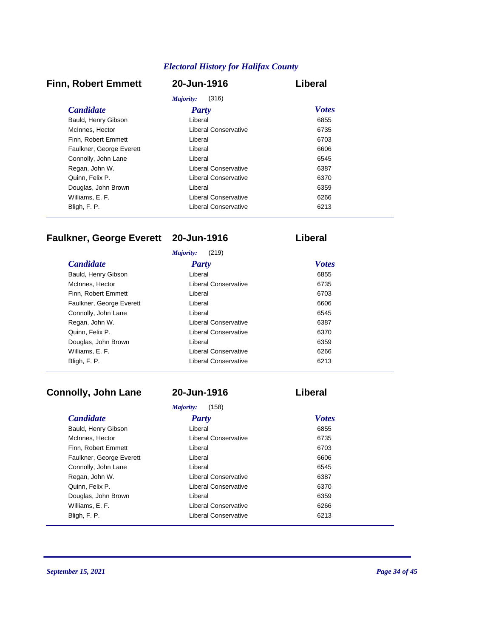### **Finn, Robert Emmett 20-Jun-1916 Liberal**

| (316)<br>Majority:       |                      |              |
|--------------------------|----------------------|--------------|
| <b>Candidate</b>         | Party                | <b>Votes</b> |
| Bauld, Henry Gibson      | Liberal              | 6855         |
| McInnes, Hector          | Liberal Conservative | 6735         |
| Finn. Robert Emmett      | Liberal              | 6703         |
| Faulkner, George Everett | Liberal              | 6606         |
| Connolly, John Lane      | Liberal              | 6545         |
| Regan, John W.           | Liberal Conservative | 6387         |
| Quinn, Felix P.          | Liberal Conservative | 6370         |
| Douglas, John Brown      | Liberal              | 6359         |
| Williams, E. F.          | Liberal Conservative | 6266         |
| Bligh, F. P.             | Liberal Conservative | 6213         |

## **Faulkner, George Everett 20-Jun-1916 Liberal**

|                          | (219)<br>Majority:   |              |
|--------------------------|----------------------|--------------|
| <i>Candidate</i>         | Party                | <b>Votes</b> |
| Bauld, Henry Gibson      | Liberal              | 6855         |
| McInnes, Hector          | Liberal Conservative | 6735         |
| Finn, Robert Emmett      | Liberal              | 6703         |
| Faulkner, George Everett | Liberal              | 6606         |
| Connolly, John Lane      | Liberal              | 6545         |
| Regan, John W.           | Liberal Conservative | 6387         |
| Quinn, Felix P.          | Liberal Conservative | 6370         |
| Douglas, John Brown      | Liberal              | 6359         |
| Williams, E. F.          | Liberal Conservative | 6266         |
| Bligh, F. P.             | Liberal Conservative | 6213         |

### **Connolly, John Lane 20-Jun-1916 Liberal**

|                          | (158)<br>Majority:   |              |
|--------------------------|----------------------|--------------|
| <b>Candidate</b>         | Party                | <b>Votes</b> |
| Bauld, Henry Gibson      | Liberal              | 6855         |
| McInnes, Hector          | Liberal Conservative | 6735         |
| Finn, Robert Emmett      | Liberal              | 6703         |
| Faulkner, George Everett | Liberal              | 6606         |
| Connolly, John Lane      | Liberal              | 6545         |
| Regan, John W.           | Liberal Conservative | 6387         |
| Quinn, Felix P.          | Liberal Conservative | 6370         |
| Douglas, John Brown      | Liberal              | 6359         |
| Williams, E. F.          | Liberal Conservative | 6266         |
| Bligh, F. P.             | Liberal Conservative | 6213         |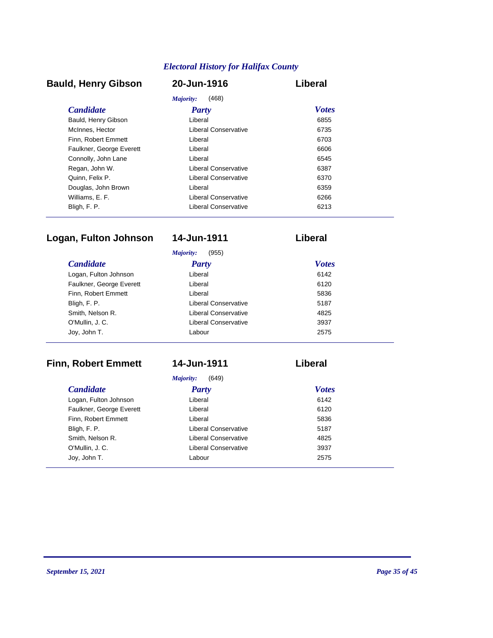### **Bauld, Henry Gibson 20-Jun-1916 Liberal**

| Majority:<br>(468)       |                      |              |
|--------------------------|----------------------|--------------|
| <i>Candidate</i>         | Party                | <i>Votes</i> |
| Bauld, Henry Gibson      | Liberal              | 6855         |
| McInnes, Hector          | Liberal Conservative | 6735         |
| Finn. Robert Emmett      | Liberal              | 6703         |
| Faulkner, George Everett | Liberal              | 6606         |
| Connolly, John Lane      | Liberal              | 6545         |
| Regan, John W.           | Liberal Conservative | 6387         |
| Quinn, Felix P.          | Liberal Conservative | 6370         |
| Douglas, John Brown      | Liberal              | 6359         |
| Williams, E. F.          | Liberal Conservative | 6266         |
| Bligh, F. P.             | Liberal Conservative | 6213         |

### **Logan, Fulton Johnson 14-Jun-1911 Liberal**

| (955)<br>Majority:       |                      |              |  |
|--------------------------|----------------------|--------------|--|
| <i>Candidate</i>         | <b>Party</b>         | <b>Votes</b> |  |
| Logan, Fulton Johnson    | Liberal              | 6142         |  |
| Faulkner, George Everett | Liberal              | 6120         |  |
| Finn, Robert Emmett      | Liberal              | 5836         |  |
| Bligh, F. P.             | Liberal Conservative | 5187         |  |
| Smith, Nelson R.         | Liberal Conservative | 4825         |  |

## **Finn, Robert Emmett 14-Jun-1911 Liberal**

O'Mullin, J. C. Liberal Conservative 3937 Joy, John T. Labour 2575

*Majority:* (649)

| <b>Candidate</b>         | <b>Party</b>                | <b>Votes</b> |
|--------------------------|-----------------------------|--------------|
| Logan, Fulton Johnson    | Liberal                     | 6142         |
| Faulkner, George Everett | Liberal                     | 6120         |
| Finn, Robert Emmett      | Liberal                     | 5836         |
| Bligh, F. P.             | Liberal Conservative        | 5187         |
| Smith, Nelson R.         | <b>Liberal Conservative</b> | 4825         |
| O'Mullin, J. C.          | Liberal Conservative        | 3937         |
| Joy, John T.             | Labour                      | 2575         |
|                          |                             |              |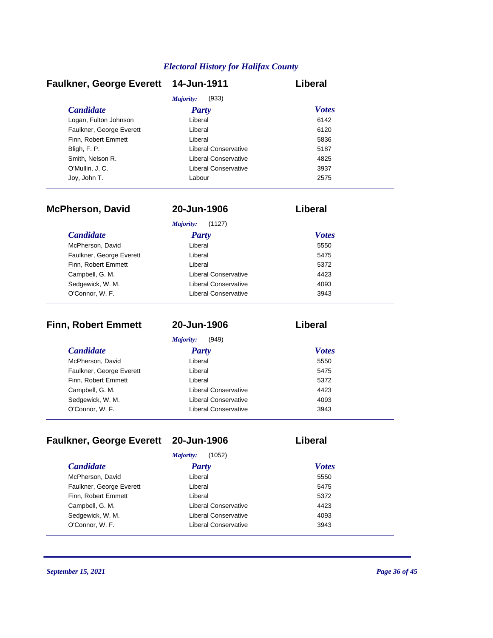| <b>Faulkner, George Everett</b> | 14-Jun-1911          | Liberal      |
|---------------------------------|----------------------|--------------|
|                                 | Majority:<br>(933)   |              |
| <b>Candidate</b>                | <b>Party</b>         | <b>Votes</b> |
| Logan, Fulton Johnson           | Liberal              | 6142         |
| Faulkner, George Everett        | Liberal              | 6120         |
| Finn. Robert Emmett             | Liberal              | 5836         |
| Bligh, F. P.                    | Liberal Conservative | 5187         |
| Smith, Nelson R.                | Liberal Conservative | 4825         |
| O'Mullin, J.C.                  | Liberal Conservative | 3937         |
| Joy, John T.                    | Labour               | 2575         |

| <b>McPherson, David</b>  | 20-Jun-1906                 | Liberal      |  |
|--------------------------|-----------------------------|--------------|--|
|                          | Majority:<br>(1127)         |              |  |
| <b>Candidate</b>         | Party                       | <b>Votes</b> |  |
| McPherson, David         | Liberal                     | 5550         |  |
| Faulkner, George Everett | Liberal                     | 5475         |  |
| Finn, Robert Emmett      | Liberal                     | 5372         |  |
| Campbell, G. M.          | Liberal Conservative        | 4423         |  |
| Sedgewick, W. M.         | Liberal Conservative        | 4093         |  |
| O'Connor, W. F.          | <b>Liberal Conservative</b> | 3943         |  |

| <b>Finn, Robert Emmett</b> | 20-Jun-1906          | Liberal      |  |
|----------------------------|----------------------|--------------|--|
|                            | Majority:<br>(949)   |              |  |
| <b>Candidate</b>           | <b>Party</b>         | <b>Votes</b> |  |
| McPherson, David           | Liberal              | 5550         |  |
| Faulkner, George Everett   | Liberal              | 5475         |  |
| Finn, Robert Emmett        | Liberal              | 5372         |  |
| Campbell, G. M.            | Liberal Conservative | 4423         |  |
| Sedgewick, W. M.           | Liberal Conservative | 4093         |  |
| O'Connor, W. F.            | Liberal Conservative | 3943         |  |

## **Faulkner, George Everett 20-Jun-1906 Liberal**

| (1052)<br>Majority:      |                      |              |
|--------------------------|----------------------|--------------|
| <i>Candidate</i>         | <b>Party</b>         | <b>Votes</b> |
| McPherson, David         | Liberal              | 5550         |
| Faulkner, George Everett | Liberal              | 5475         |
| Finn. Robert Emmett      | Liberal              | 5372         |
| Campbell, G. M.          | Liberal Conservative | 4423         |
| Sedgewick, W. M.         | Liberal Conservative | 4093         |
| O'Connor, W. F.          | Liberal Conservative | 3943         |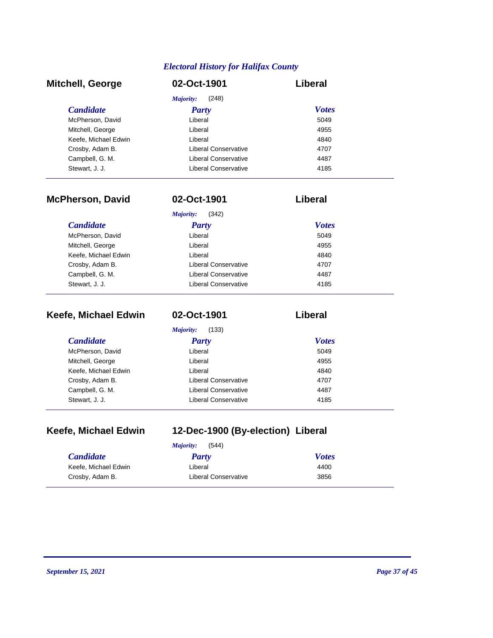| <b>Mitchell, George</b> | 02-Oct-1901          | Liberal      |
|-------------------------|----------------------|--------------|
|                         | (248)<br>Majority:   |              |
| <b>Candidate</b>        | <b>Party</b>         | <b>Votes</b> |
| McPherson, David        | Liberal              | 5049         |
| Mitchell, George        | Liberal              | 4955         |
| Keefe, Michael Edwin    | Liberal              | 4840         |
| Crosby, Adam B.         | Liberal Conservative | 4707         |
| Campbell, G. M.         | Liberal Conservative | 4487         |
| Stewart, J. J.          | Liberal Conservative | 4185         |

| <b>McPherson, David</b> | 02-Oct-1901          | Liberal      |
|-------------------------|----------------------|--------------|
|                         | Majority:<br>(342)   |              |
| <b>Candidate</b>        | Party                | <b>Votes</b> |
| McPherson, David        | Liberal              | 5049         |
| Mitchell, George        | Liberal              | 4955         |
| Keefe, Michael Edwin    | Liberal              | 4840         |
| Crosby, Adam B.         | Liberal Conservative | 4707         |
| Campbell, G. M.         | Liberal Conservative | 4487         |
| Stewart, J. J.          | Liberal Conservative | 4185         |

| Keefe, Michael Edwin | 02-Oct-1901          | Liberal      |
|----------------------|----------------------|--------------|
|                      | Majority:<br>(133)   |              |
| <i>Candidate</i>     | <b>Party</b>         | <b>Votes</b> |
| McPherson, David     | Liberal              | 5049         |
| Mitchell, George     | Liberal              | 4955         |
| Keefe, Michael Edwin | Liberal              | 4840         |
| Crosby, Adam B.      | Liberal Conservative | 4707         |
| Campbell, G. M.      | Liberal Conservative | 4487         |
| Stewart, J. J.       | Liberal Conservative | 4185         |

| Keefe, Michael Edwin |  |
|----------------------|--|
|----------------------|--|

# **Keefe, Michael Edwin 12-Dec-1900 (By-election) Liberal**

|                      | (544)<br><i>Majority:</i> |              |
|----------------------|---------------------------|--------------|
| <b>Candidate</b>     | Party                     | <b>Votes</b> |
| Keefe, Michael Edwin | Liberal                   | 4400         |
| Crosby, Adam B.      | Liberal Conservative      | 3856         |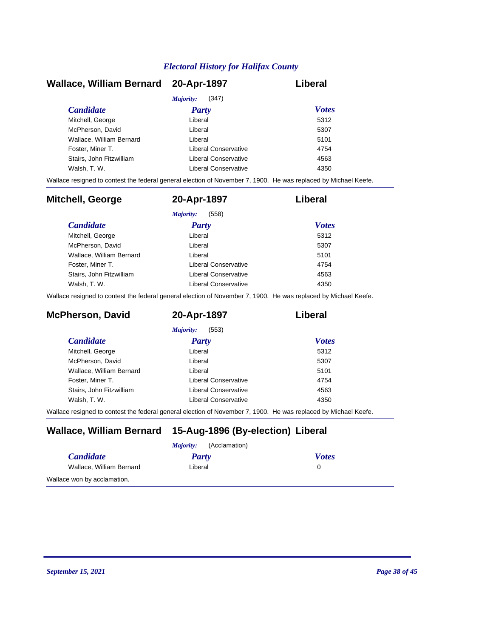| Wallace, William Bernard 20-Apr-1897 |                      | Liberal      |
|--------------------------------------|----------------------|--------------|
|                                      | (347)<br>Majority:   |              |
| <b>Candidate</b>                     | Party                | <b>Votes</b> |
| Mitchell, George                     | Liberal              | 5312         |
| McPherson, David                     | Liberal              | 5307         |
| Wallace, William Bernard             | Liberal              | 5101         |
| Foster, Miner T.                     | Liberal Conservative | 4754         |
| Stairs, John Fitzwilliam             | Liberal Conservative | 4563         |
| Walsh, T. W.                         | Liberal Conservative | 4350         |

Wallace resigned to contest the federal general election of November 7, 1900. He was replaced by Michael Keefe.

| Mitchell, George         | 20-Apr-1897          | Liberal      |
|--------------------------|----------------------|--------------|
|                          | (558)<br>Majority:   |              |
| <i>Candidate</i>         | Party                | <b>Votes</b> |
| Mitchell, George         | Liberal              | 5312         |
| McPherson, David         | Liberal              | 5307         |
| Wallace, William Bernard | Liberal              | 5101         |
| Foster, Miner T.         | Liberal Conservative | 4754         |
| Stairs, John Fitzwilliam | Liberal Conservative | 4563         |
| Walsh, T. W.             | Liberal Conservative | 4350         |

Wallace resigned to contest the federal general election of November 7, 1900. He was replaced by Michael Keefe.

| <b>McPherson, David</b>  | 20-Apr-1897          | Liberal      |
|--------------------------|----------------------|--------------|
|                          | (553)<br>Majority:   |              |
| <i>Candidate</i>         | Party                | <b>Votes</b> |
| Mitchell, George         | Liberal              | 5312         |
| McPherson, David         | Liberal              | 5307         |
| Wallace, William Bernard | Liberal              | 5101         |
| Foster, Miner T.         | Liberal Conservative | 4754         |
| Stairs, John Fitzwilliam | Liberal Conservative | 4563         |
| Walsh, T. W.             | Liberal Conservative | 4350         |

Wallace resigned to contest the federal general election of November 7, 1900. He was replaced by Michael Keefe.

### **Wallace, William Bernard 15-Aug-1896 (By-election) Liberal**

| (Acclamation)<br><i>Majority:</i> |         |              |
|-----------------------------------|---------|--------------|
| <i>Candidate</i>                  | Party   | <b>Votes</b> |
| Wallace, William Bernard          | Liberal |              |
| Wallace won by acclamation.       |         |              |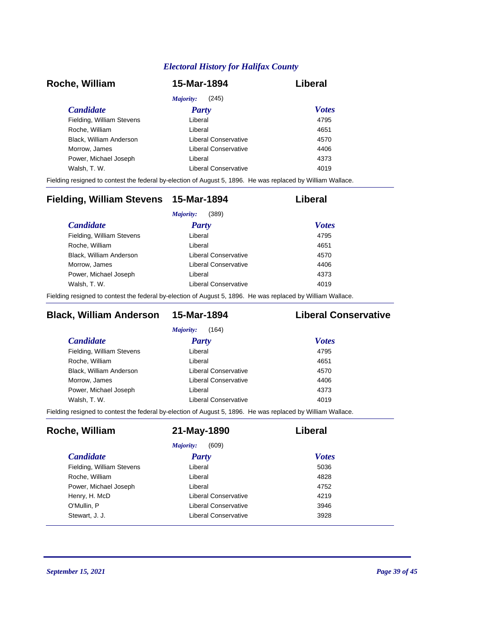| Roche, William            | 15-Mar-1894          | Liberal      |
|---------------------------|----------------------|--------------|
|                           | (245)<br>Majority:   |              |
| <i>Candidate</i>          | <b>Party</b>         | <b>Votes</b> |
| Fielding, William Stevens | Liberal              | 4795         |
| Roche, William            | Liberal              | 4651         |
| Black, William Anderson   | Liberal Conservative | 4570         |
| Morrow, James             | Liberal Conservative | 4406         |
| Power, Michael Joseph     | Liberal              | 4373         |
| Walsh, T. W.              | Liberal Conservative | 4019         |

Fielding resigned to contest the federal by-election of August 5, 1896. He was replaced by William Wallace.

| Fielding, William Stevens 15-Mar-1894 |                      | Liberal      |
|---------------------------------------|----------------------|--------------|
|                                       | (389)<br>Majority:   |              |
| <i>Candidate</i>                      | Party                | <b>Votes</b> |
| Fielding, William Stevens             | Liberal              | 4795         |
| Roche, William                        | Liberal              | 4651         |
| Black, William Anderson               | Liberal Conservative | 4570         |
| Morrow, James                         | Liberal Conservative | 4406         |
| Power, Michael Joseph                 | Liberal              | 4373         |
| Walsh, T. W.                          | Liberal Conservative | 4019         |
|                                       |                      |              |

Fielding resigned to contest the federal by-election of August 5, 1896. He was replaced by William Wallace.

### **Black, William Anderson 15-Mar-1894 Liberal Conservative**

| Liberal              | 4795 |                              |
|----------------------|------|------------------------------|
| Liberal              | 4651 |                              |
| Liberal Conservative | 4570 |                              |
| Liberal Conservative | 4406 |                              |
| Liberal              | 4373 |                              |
| Liberal Conservative | 4019 |                              |
|                      |      | <b>Votes</b><br><b>Party</b> |

Fielding resigned to contest the federal by-election of August 5, 1896. He was replaced by William Wallace.

| Roche, William            | 21-May-1890          | Liberal      |
|---------------------------|----------------------|--------------|
|                           | (609)<br>Majority:   |              |
| <i>Candidate</i>          | Party                | <b>Votes</b> |
| Fielding, William Stevens | Liberal              | 5036         |
| Roche, William            | Liberal              | 4828         |
| Power, Michael Joseph     | Liberal              | 4752         |
| Henry, H. McD             | Liberal Conservative | 4219         |
| O'Mullin, P               | Liberal Conservative | 3946         |
| Stewart, J. J.            | Liberal Conservative | 3928         |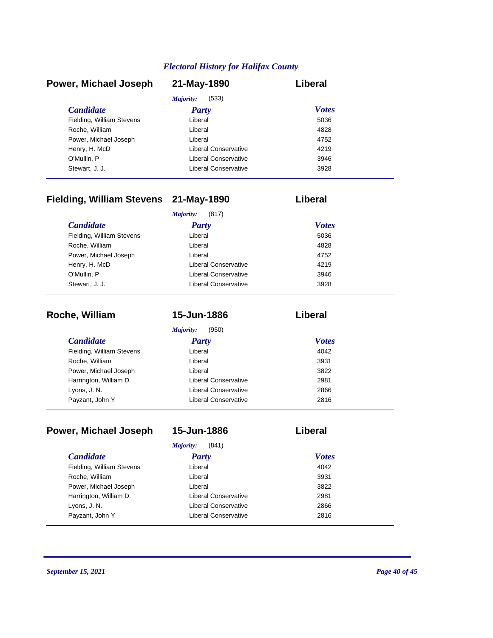| Power, Michael Joseph     | 21-May-1890          | Liberal      |
|---------------------------|----------------------|--------------|
|                           | (533)<br>Majority:   |              |
| <b>Candidate</b>          | <b>Party</b>         | <b>Votes</b> |
| Fielding, William Stevens | Liberal              | 5036         |
| Roche, William            | Liberal              | 4828         |
| Power, Michael Joseph     | Liberal              | 4752         |
| Henry, H. McD             | Liberal Conservative | 4219         |
| O'Mullin, P               | Liberal Conservative | 3946         |
| Stewart, J. J.            | Liberal Conservative | 3928         |

# **Fielding, William Stevens 21-May-1890 Liberal**

|                           | (817)<br>Majority:   |              |
|---------------------------|----------------------|--------------|
| <b>Candidate</b>          | <b>Party</b>         | <b>Votes</b> |
| Fielding, William Stevens | Liberal              | 5036         |
| Roche, William            | Liberal              | 4828         |
| Power, Michael Joseph     | Liberal              | 4752         |
| Henry, H. McD             | Liberal Conservative | 4219         |
| O'Mullin, P               | Liberal Conservative | 3946         |
| Stewart, J. J.            | Liberal Conservative | 3928         |

| Roche, William            | 15-Jun-1886          | Liberal      |
|---------------------------|----------------------|--------------|
|                           | (950)<br>Majority:   |              |
| <i>Candidate</i>          | <b>Party</b>         | <b>Votes</b> |
| Fielding, William Stevens | Liberal              | 4042         |
| Roche, William            | Liberal              | 3931         |
| Power, Michael Joseph     | Liberal              | 3822         |
| Harrington, William D.    | Liberal Conservative | 2981         |
| Lyons, J. N.              | Liberal Conservative | 2866         |
| Payzant, John Y           | Liberal Conservative | 2816         |

| Power, Michael Joseph     | 15-Jun-1886                 | Liberal      |
|---------------------------|-----------------------------|--------------|
|                           | Majority:<br>(841)          |              |
| <i>Candidate</i>          | Party                       | <b>Votes</b> |
| Fielding, William Stevens | Liberal                     | 4042         |
| Roche, William            | Liberal                     | 3931         |
| Power, Michael Joseph     | Liberal                     | 3822         |
| Harrington, William D.    | Liberal Conservative        | 2981         |
| Lyons, J. N.              | <b>Liberal Conservative</b> | 2866         |
| Payzant, John Y           | Liberal Conservative        | 2816         |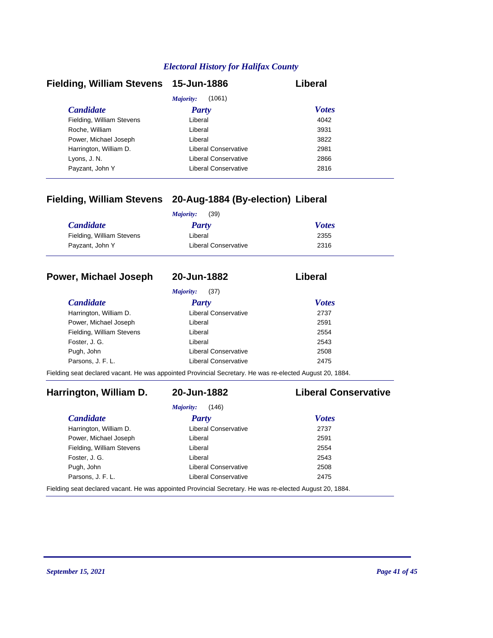| Fielding, William Stevens 15-Jun-1886 |                      | Liberal      |
|---------------------------------------|----------------------|--------------|
|                                       | (1061)<br>Majority:  |              |
| <b>Candidate</b>                      | <b>Party</b>         | <b>Votes</b> |
| Fielding, William Stevens             | Liberal              | 4042         |
| Roche, William                        | Liberal              | 3931         |
| Power, Michael Joseph                 | Liberal              | 3822         |
| Harrington, William D.                | Liberal Conservative | 2981         |
| Lyons, J. N.                          | Liberal Conservative | 2866         |
| Payzant, John Y                       | Liberal Conservative | 2816         |

### **Fielding, William Stevens 20-Aug-1884 (By-election) Liberal**

|                           | (39)<br>Majority:    |              |
|---------------------------|----------------------|--------------|
| <b>Candidate</b>          | Party                | <b>Votes</b> |
| Fielding, William Stevens | Liberal              | 2355         |
| Payzant, John Y           | Liberal Conservative | 2316         |

#### **Power, Michael Joseph 20-Jun-1882 Liberal**

*Majority:* (37)

| <i>Candidate</i>          | Party                       | <b>Votes</b> |
|---------------------------|-----------------------------|--------------|
| Harrington, William D.    | Liberal Conservative        | 2737         |
| Power, Michael Joseph     | Liberal                     | 2591         |
| Fielding, William Stevens | Liberal                     | 2554         |
| Foster, J. G.             | Liberal                     | 2543         |
| Pugh, John                | Liberal Conservative        | 2508         |
| Parsons, J. F. L.         | <b>Liberal Conservative</b> | 2475         |
|                           |                             |              |

Fielding seat declared vacant. He was appointed Provincial Secretary. He was re-elected August 20, 1884.

### **Harrington, William D. 20-Jun-1882 Liberal Conservative**

# *Majority:* (146)

| <b>Candidate</b>          | Party                       | <b>Votes</b> |
|---------------------------|-----------------------------|--------------|
| Harrington, William D.    | Liberal Conservative        | 2737         |
| Power, Michael Joseph     | Liberal                     | 2591         |
| Fielding, William Stevens | Liberal                     | 2554         |
| Foster, J. G.             | Liberal                     | 2543         |
| Pugh, John                | <b>Liberal Conservative</b> | 2508         |
| Parsons. J. F. L.         | <b>Liberal Conservative</b> | 2475         |

Fielding seat declared vacant. He was appointed Provincial Secretary. He was re-elected August 20, 1884.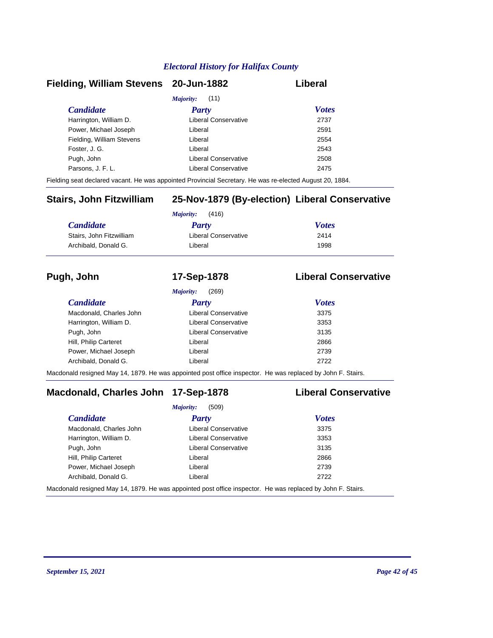#### **Fielding, William Stevens 20-Jun-1882 Liberal**

| <i>Majority:</i> (11)     |                      |              |  |
|---------------------------|----------------------|--------------|--|
| <b>Candidate</b>          | <b>Party</b>         | <b>Votes</b> |  |
| Harrington, William D.    | Liberal Conservative | 2737         |  |
| Power, Michael Joseph     | Liberal              | 2591         |  |
| Fielding, William Stevens | Liberal              | 2554         |  |
| Foster, J. G.             | Liberal              | 2543         |  |
| Pugh, John                | Liberal Conservative | 2508         |  |
| Parsons, J. F. L.         | Liberal Conservative | 2475         |  |
|                           |                      |              |  |

Fielding seat declared vacant. He was appointed Provincial Secretary. He was re-elected August 20, 1884.

### **Stairs, John Fitzwilliam 25-Nov-1879 (By-election) Liberal Conservative**

| (416)<br>Maiority:       |                      |              |
|--------------------------|----------------------|--------------|
| <b>Candidate</b>         | <b>Party</b>         | <b>Votes</b> |
| Stairs, John Fitzwilliam | Liberal Conservative | 2414         |
| Archibald, Donald G.     | Liberal              | 1998         |

#### **Pugh, John 17-Sep-1878 Liberal Conservative**

|                         | (269)<br><i>Majority:</i> |              |
|-------------------------|---------------------------|--------------|
| <b>Candidate</b>        | Party                     | <b>Votes</b> |
| Macdonald, Charles John | Liberal Conservative      | 3375         |
| Harrington, William D.  | Liberal Conservative      | 3353         |
| Pugh, John              | Liberal Conservative      | 3135         |
| Hill, Philip Carteret   | Liberal                   | 2866         |
| Power, Michael Joseph   | Liberal                   | 2739         |
| Archibald, Donald G.    | Liberal                   | 2722         |

Macdonald resigned May 14, 1879. He was appointed post office inspector. He was replaced by John F. Stairs.

### **Macdonald, Charles John 17-Sep-1878 Liberal Conservative**

|                         | (509)<br>Majority:                                                                                                       |              |  |
|-------------------------|--------------------------------------------------------------------------------------------------------------------------|--------------|--|
| <b>Candidate</b>        | <b>Party</b>                                                                                                             | <b>Votes</b> |  |
| Macdonald, Charles John | <b>Liberal Conservative</b>                                                                                              | 3375         |  |
| Harrington, William D.  | Liberal Conservative                                                                                                     | 3353         |  |
| Pugh, John              | <b>Liberal Conservative</b>                                                                                              | 3135         |  |
| Hill, Philip Carteret   | Liberal                                                                                                                  | 2866         |  |
| Power, Michael Joseph   | Liberal                                                                                                                  | 2739         |  |
| Archibald, Donald G.    | Liberal                                                                                                                  | 2722         |  |
|                         | المعاجزات المعاطيات الموجودات والمناصب والمستحدث ومثالية المحمد المناصر معاطر من المنافس المالية المستحدة الماضية المناط |              |  |

Macdonald resigned May 14, 1879. He was appointed post office inspector. He was replaced by John F. Stairs.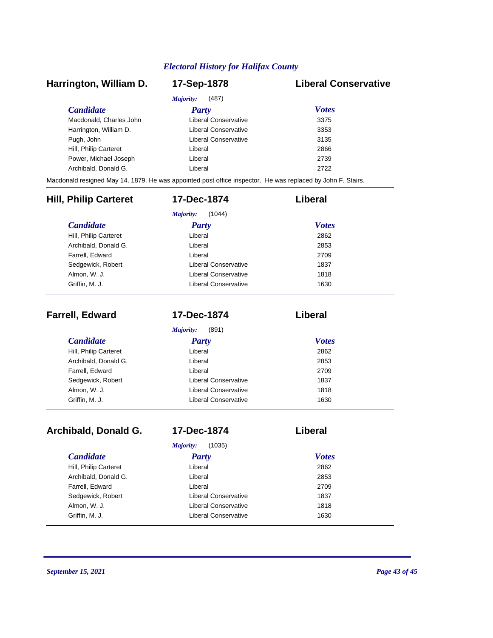#### *Candidate Party Votes* **Harrington, William D. 17-Sep-1878 Liberal Conservative** *Majority:* (487) Macdonald, Charles John Liberal Conservative 3375 Harrington, William D. Ciberal Conservative 3353 Pugh, John **Disk and American Conservative** 3135 Hill, Philip Carteret **Liberal** Liberal 2866 Power, Michael Joseph Liberal Liberal 2739 Archibald, Donald G. Liberal 2722 Macdonald resigned May 14, 1879. He was appointed post office inspector. He was replaced by John F. Stairs. *Candidate Party Votes* **Hill, Philip Carteret 17-Dec-1874 Liberal** *Majority:* (1044) Hill, Philip Carteret Liberal Archibald, Donald G. Liberal 2853 Farrell, Edward 2709 Sedgewick, Robert **Liberal Conservative** 1837 Almon, W. J. Conservative Conservative 1818

| <b>Farrell, Edward</b> | 17-Dec-1874          | Liberal      |
|------------------------|----------------------|--------------|
|                        | (891)<br>Majority:   |              |
| <b>Candidate</b>       | <b>Party</b>         | <b>Votes</b> |
| Hill, Philip Carteret  | Liberal              | 2862         |
| Archibald, Donald G.   | Liberal              | 2853         |
| Farrell, Edward        | Liberal              | 2709         |
| Sedgewick, Robert      | Liberal Conservative | 1837         |
| Almon, W. J.           | Liberal Conservative | 1818         |
| Griffin, M. J.         | Liberal Conservative | 1630         |

Griffin, M. J. **Canadian Conservative** 1630

| Archibald, Donald G.  | 17-Dec-1874          | Liberal      |  |
|-----------------------|----------------------|--------------|--|
|                       | (1035)<br>Majority:  |              |  |
| <i>Candidate</i>      | Party                | <b>Votes</b> |  |
| Hill, Philip Carteret | Liberal              | 2862         |  |
| Archibald, Donald G.  | Liberal              | 2853         |  |
| Farrell, Edward       | Liberal              | 2709         |  |
| Sedgewick, Robert     | Liberal Conservative | 1837         |  |
| Almon, W. J.          | Liberal Conservative | 1818         |  |
| Griffin, M. J.        | Liberal Conservative | 1630         |  |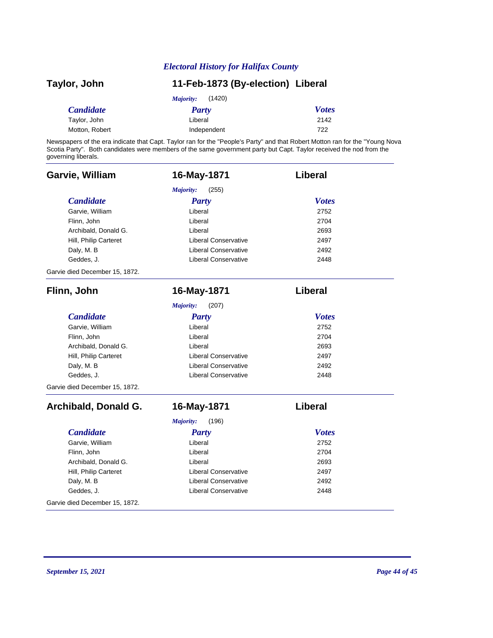| Taylor, John     | 11-Feb-1873 (By-election) Liberal |              |
|------------------|-----------------------------------|--------------|
|                  | (1420)<br>Majority:               |              |
| <i>Candidate</i> | <b>Party</b>                      | <b>Votes</b> |
| Taylor, John     | Liberal                           | 2142         |
| Motton, Robert   | Independent                       | 722          |

Newspapers of the era indicate that Capt. Taylor ran for the "People's Party" and that Robert Motton ran for the "Young Nova Scotia Party". Both candidates were members of the same government party but Capt. Taylor received the nod from the governing liberals.

| Garvie, William                | 16-May-1871                 | Liberal        |
|--------------------------------|-----------------------------|----------------|
|                                | Majority:<br>(255)          |                |
| <b>Candidate</b>               | <b>Party</b>                | <b>Votes</b>   |
| Garvie, William                | Liberal                     | 2752           |
| Flinn, John                    | Liberal                     | 2704           |
| Archibald, Donald G.           | Liberal                     | 2693           |
| Hill, Philip Carteret          | Liberal Conservative        | 2497           |
| Daly, M. B                     | <b>Liberal Conservative</b> | 2492           |
| Geddes, J.                     | <b>Liberal Conservative</b> | 2448           |
| Garvie died December 15, 1872. |                             |                |
| Flinn, John                    | 16-May-1871                 | Liberal        |
|                                | (207)<br>Majority:          |                |
| <b>Candidate</b>               | <b>Party</b>                | <b>Votes</b>   |
| Garvie, William                | Liberal                     | 2752           |
| Flinn, John                    | Liberal                     | 2704           |
| Archibald, Donald G.           | Liberal                     | 2693           |
| Hill, Philip Carteret          | <b>Liberal Conservative</b> | 2497           |
| Daly, M. B                     | <b>Liberal Conservative</b> | 2492           |
| Geddes, J.                     | Liberal Conservative        | 2448           |
| Garvie died December 15, 1872. |                             |                |
| Archibald, Donald G.           | 16-May-1871                 | <b>Liberal</b> |
|                                | Majority:<br>(196)          |                |
| <b>Candidate</b>               | <b>Party</b>                | <b>Votes</b>   |
| Garvie, William                | Liberal                     | 2752           |
| Flinn, John                    | Liberal                     | 2704           |
| Archibald, Donald G.           | Liberal                     | 2693           |
| Hill, Philip Carteret          | <b>Liberal Conservative</b> | 2497           |
| Daly, M. B                     | <b>Liberal Conservative</b> | 2492           |
| Geddes, J.                     | Liberal Conservative        | 2448           |
| Garvie died December 15, 1872. |                             |                |